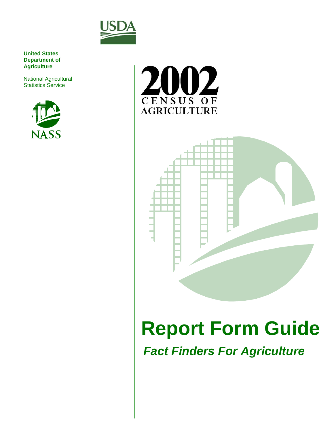

**United States Department of Agriculture**

National Agricultural Statistics Service







# **Report Form Guide**

**Fact Finders For Agriculture**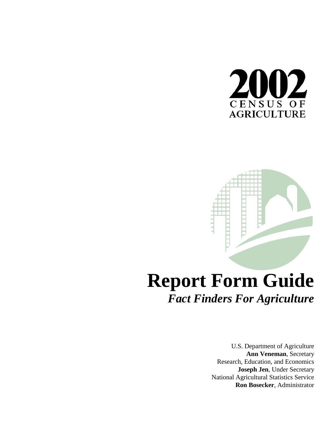



# **Report Form Guide** *Fact Finders For Agriculture*

U.S. Department of Agriculture **Ann Veneman**, Secretary Research, Education, and Economics **Joseph Jen**, Under Secretary National Agricultural Statistics Service **Ron Bosecker**, Administrator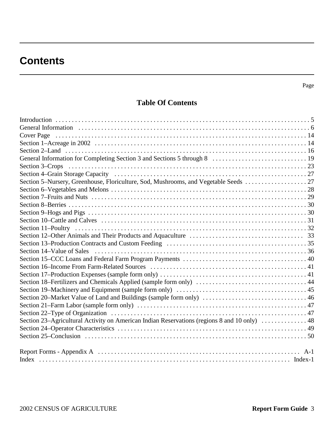# **Contents**

### **Table Of Contents**

| Section 5-Nursery, Greenhouse, Floriculture, Sod, Mushrooms, and Vegetable Seeds  27         |       |
|----------------------------------------------------------------------------------------------|-------|
|                                                                                              |       |
|                                                                                              |       |
|                                                                                              |       |
|                                                                                              |       |
|                                                                                              |       |
|                                                                                              |       |
|                                                                                              |       |
|                                                                                              |       |
|                                                                                              |       |
|                                                                                              |       |
|                                                                                              |       |
|                                                                                              |       |
|                                                                                              |       |
|                                                                                              |       |
|                                                                                              |       |
|                                                                                              |       |
|                                                                                              |       |
| Section 23–Agricultural Activity on American Indian Reservations (regions 8 and 10 only)  48 |       |
|                                                                                              |       |
|                                                                                              |       |
|                                                                                              | $A-1$ |
|                                                                                              |       |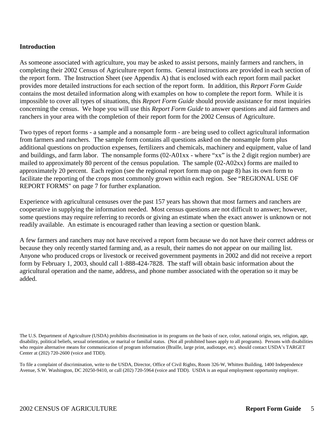### **Introduction**

As someone associated with agriculture, you may be asked to assist persons, mainly farmers and ranchers, in completing their 2002 Census of Agriculture report forms. General instructions are provided in each section of the report form. The Instruction Sheet (see Appendix A) that is enclosed with each report form mail packet provides more detailed instructions for each section of the report form. In addition, this *Report Form Guide* contains the most detailed information along with examples on how to complete the report form. While it is impossible to cover all types of situations, this *Report Form Guide* should provide assistance for most inquiries concerning the census. We hope you will use this *Report Form Guide* to answer questions and aid farmers and ranchers in your area with the completion of their report form for the 2002 Census of Agriculture.

Two types of report forms - a sample and a nonsample form - are being used to collect agricultural information from farmers and ranchers. The sample form contains all questions asked on the nonsample form plus additional questions on production expenses, fertilizers and chemicals, machinery and equipment, value of land and buildings, and farm labor. The nonsample forms (02-A01xx - where "xx" is the 2 digit region number) are mailed to approximately 80 percent of the census population. The sample (02-A02xx) forms are mailed to approximately 20 percent. Each region (see the regional report form map on page 8) has its own form to facilitate the reporting of the crops most commonly grown within each region. See "REGIONAL USE OF REPORT FORMS" on page 7 for further explanation.

Experience with agricultural censuses over the past 157 years has shown that most farmers and ranchers are cooperative in supplying the information needed. Most census questions are not difficult to answer; however, some questions may require referring to records or giving an estimate when the exact answer is unknown or not readily available. An estimate is encouraged rather than leaving a section or question blank.

A few farmers and ranchers may not have received a report form because we do not have their correct address or because they only recently started farming and, as a result, their names do not appear on our mailing list. Anyone who produced crops or livestock or received government payments in 2002 and did not receive a report form by February 1, 2003, should call 1-888-424-7828. The staff will obtain basic information about the agricultural operation and the name, address, and phone number associated with the operation so it may be added.

To file a complaint of discrimination, write to the USDA, Director, Office of Civil Rights, Room 326-W, Whitten Building, 1400 Independence Avenue, S.W. Washington, DC 20250-9410, or call (202) 720-5964 (voice and TDD). USDA is an equal employment opportunity employer.

The U.S. Department of Agriculture (USDA) prohibits discrimination in its programs on the basis of race, color, national origin, sex, religion, age, disability, political beliefs, sexual orientation, or marital or familial status. (Not all prohibited bases apply to all programs). Persons with disabilities who require alternative means for communication of program information (Braille, large print, audiotape, etc). should contact USDA's TARGET Center at (202) 720-2600 (voice and TDD).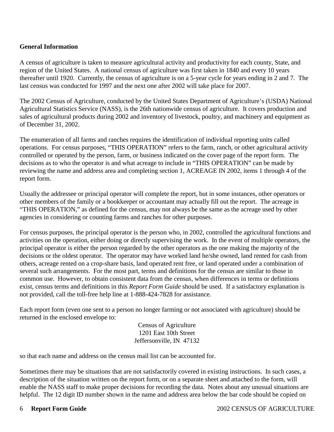### **General Information**

A census of agriculture is taken to measure agricultural activity and productivity for each county, State, and region of the United States. A national census of agriculture was first taken in 1840 and every 10 years thereafter until 1920. Currently, the census of agriculture is on a 5-year cycle for years ending in 2 and 7. The last census was conducted for 1997 and the next one after 2002 will take place for 2007.

The 2002 Census of Agriculture, conducted by the United States Department of Agriculture's (USDA) National Agricultural Statistics Service (NASS), is the 26th nationwide census of agriculture. It covers production and sales of agricultural products during 2002 and inventory of livestock, poultry, and machinery and equipment as of December 31, 2002.

The enumeration of all farms and ranches requires the identification of individual reporting units called operations. For census purposes, "THIS OPERATION" refers to the farm, ranch, or other agricultural activity controlled or operated by the person, farm, or business indicated on the cover page of the report form. The decisions as to who the operator is and what acreage to include in "THIS OPERATION" can be made by reviewing the name and address area and completing section 1, ACREAGE IN 2002, items 1 through 4 of the report form.

Usually the addressee or principal operator will complete the report, but in some instances, other operators or other members of the family or a bookkeeper or accountant may actually fill out the report. The acreage in "THIS OPERATION," as defined for the census, may not always be the same as the acreage used by other agencies in considering or counting farms and ranches for other purposes.

For census purposes, the principal operator is the person who, in 2002, controlled the agricultural functions and activities on the operation, either doing or directly supervising the work. In the event of multiple operators, the principal operator is either the person regarded by the other operators as the one making the majority of the decisions or the oldest operator. The operator may have worked land he/she owned, land rented for cash from others, acreage rented on a crop-share basis, land operated rent free, or land operated under a combination of several such arrangements. For the most part, terms and definitions for the census are similar to those in common use. However, to obtain consistent data from the census, when differences in terms or definitions exist, census terms and definitions in this *Report Form Guide* should be used. If a satisfactory explanation is not provided, call the toll-free help line at 1-888-424-7828 for assistance.

Each report form (even one sent to a person no longer farming or not associated with agriculture) should be returned in the enclosed envelope to:

> Census of Agriculture 1201 East 10th Street Jeffersonville, IN 47132

so that each name and address on the census mail list can be accounted for.

Sometimes there may be situations that are not satisfactorily covered in existing instructions. In such cases, a description of the situation written on the report form, or on a separate sheet and attached to the form, will enable the NASS staff to make proper decisions for recording the data. Notes about any unusual situations are helpful. The 12 digit ID number shown in the name and address area below the bar code should be copied on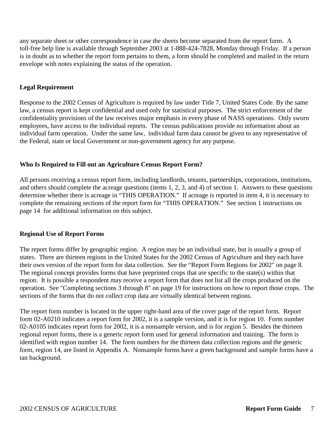any separate sheet or other correspondence in case the sheets become separated from the report form. A toll-free help line is available through September 2003 at 1-888-424-7828, Monday through Friday. If a person is in doubt as to whether the report form pertains to them, a form should be completed and mailed in the return envelope with notes explaining the status of the operation.

### **Legal Requirement**

Response to the 2002 Census of Agriculture is required by law under Title 7, United States Code. By the same law, a census report is kept confidential and used only for statistical purposes. The strict enforcement of the confidentiality provisions of the law receives major emphasis in every phase of NASS operations. Only sworn employees, have access to the individual reports. The census publications provide no information about an individual farm operation. Under the same law, individual farm data cannot be given to any representative of the Federal, state or local Government or non-government agency for any purpose.

### **Who Is Required to Fill out an Agriculture Census Report Form?**

All persons receiving a census report form, including landlords, tenants, partnerships, corporations, institutions, and others should complete the acreage questions (items 1, 2, 3, and 4) of section 1. Answers to these questions determine whether there is acreage in "THIS OPERATION." If acreage is reported in item 4, it is necessary to complete the remaining sections of the report form for "THIS OPERATION." See section 1 instructions on page 14 for additional information on this subject.

### **Regional Use of Report Forms**

The report forms differ by geographic region. A region may be an individual state, but is usually a group of states. There are thirteen regions in the United States for the 2002 Census of Agriculture and they each have their own version of the report form for data collection. See the "Report Form Regions for 2002" on page 8. The regional concept provides forms that have preprinted crops that are specific to the state(s) within that region. It is possible a respondent may receive a report form that does not list all the crops produced on the operation. See "Completing sections 3 through 8" on page 19 for instructions on how to report those crops. The sections of the forms that do not collect crop data are virtually identical between regions.

The report form number is located in the upper right-hand area of the cover page of the report form. Report form 02-A0210 indicates a report form for 2002, it is a sample version, and it is for region 10. Form number 02-A0105 indicates report form for 2002, it is a nonsample version, and is for region 5. Besides the thirteen regional report forms, there is a generic report form used for general information and training. The form is identified with region number 14. The form numbers for the thirteen data collection regions and the generic form, region 14, are listed in Appendix A. Nonsample forms have a green background and sample forms have a tan background.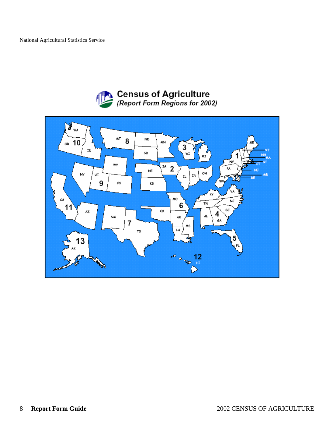

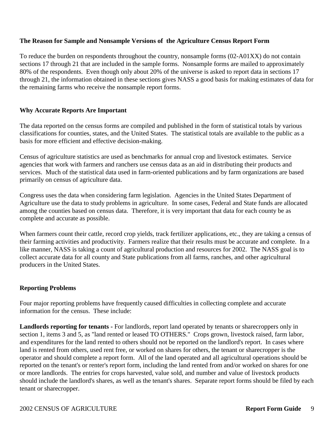### **The Reason for Sample and Nonsample Versions of the Agriculture Census Report Form**

To reduce the burden on respondents throughout the country, nonsample forms (02-A01XX) do not contain sections 17 through 21 that are included in the sample forms. Nonsample forms are mailed to approximately 80% of the respondents. Even though only about 20% of the universe is asked to report data in sections 17 through 21, the information obtained in these sections gives NASS a good basis for making estimates of data for the remaining farms who receive the nonsample report forms.

### **Why Accurate Reports Are Important**

The data reported on the census forms are compiled and published in the form of statistical totals by various classifications for counties, states, and the United States. The statistical totals are available to the public as a basis for more efficient and effective decision-making.

Census of agriculture statistics are used as benchmarks for annual crop and livestock estimates. Service agencies that work with farmers and ranchers use census data as an aid in distributing their products and services. Much of the statistical data used in farm-oriented publications and by farm organizations are based primarily on census of agriculture data.

Congress uses the data when considering farm legislation. Agencies in the United States Department of Agriculture use the data to study problems in agriculture. In some cases, Federal and State funds are allocated among the counties based on census data. Therefore, it is very important that data for each county be as complete and accurate as possible.

When farmers count their cattle, record crop yields, track fertilizer applications, etc., they are taking a census of their farming activities and productivity. Farmers realize that their results must be accurate and complete. In a like manner, NASS is taking a count of agricultural production and resources for 2002. The NASS goal is to collect accurate data for all county and State publications from all farms, ranches, and other agricultural producers in the United States.

### **Reporting Problems**

Four major reporting problems have frequently caused difficulties in collecting complete and accurate information for the census. These include:

**Landlords reporting for tenants -** For landlords, report land operated by tenants or sharecroppers only in section 1, items 3 and 5, as "land rented or leased TO OTHERS." Crops grown, livestock raised, farm labor, and expenditures for the land rented to others should not be reported on the landlord's report. In cases where land is rented from others, used rent free, or worked on shares for others, the tenant or sharecropper is the operator and should complete a report form. All of the land operated and all agricultural operations should be reported on the tenant's or renter's report form, including the land rented from and/or worked on shares for one or more landlords. The entries for crops harvested, value sold, and number and value of livestock products should include the landlord's shares, as well as the tenant's shares. Separate report forms should be filed by each tenant or sharecropper.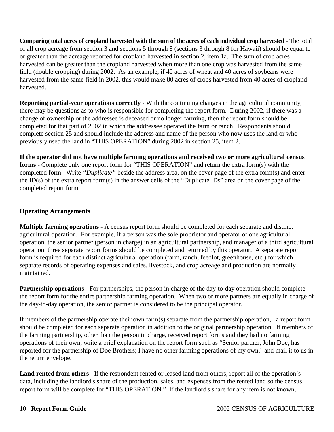**Comparing total acres of cropland harvested with the sum of the acres of each individual crop harvested -** The total of all crop acreage from section 3 and sections 5 through 8 (sections 3 through 8 for Hawaii) should be equal to or greater than the acreage reported for cropland harvested in section 2, item 1a. The sum of crop acres harvested can be greater than the cropland harvested when more than one crop was harvested from the same field (double cropping) during 2002. As an example, if 40 acres of wheat and 40 acres of soybeans were harvested from the same field in 2002, this would make 80 acres of crops harvested from 40 acres of cropland harvested.

**Reporting partial-year operations correctly -** With the continuing changes in the agricultural community, there may be questions as to who is responsible for completing the report form. During 2002, if there was a change of ownership or the addressee is deceased or no longer farming, then the report form should be completed for that part of 2002 in which the addressee operated the farm or ranch. Respondents should complete section 25 and should include the address and name of the person who now uses the land or who previously used the land in "THIS OPERATION" during 2002 in section 25, item 2.

**If the operator did not have multiple farming operations and received two or more agricultural census forms -** Complete only one report form for "THIS OPERATION" and return the extra form(s) with the completed form. Write *"Duplicate"* beside the address area, on the cover page of the extra form(s) and enter the ID(s) of the extra report form(s) in the answer cells of the "Duplicate IDs" area on the cover page of the completed report form.

### **Operating Arrangements**

**Multiple farming operations -** A census report form should be completed for each separate and distinct agricultural operation. For example, if a person was the sole proprietor and operator of one agricultural operation, the senior partner (person in charge) in an agricultural partnership, and manager of a third agricultural operation, three separate report forms should be completed and returned by this operator. A separate report form is required for each distinct agricultural operation (farm, ranch, feedlot, greenhouse, etc.) for which separate records of operating expenses and sales, livestock, and crop acreage and production are normally maintained.

**Partnership operations -** For partnerships, the person in charge of the day-to-day operation should complete the report form for the entire partnership farming operation. When two or more partners are equally in charge of the day-to-day operation, the senior partner is considered to be the principal operator.

If members of the partnership operate their own farm(s) separate from the partnership operation, a report form should be completed for each separate operation in addition to the original partnership operation. If members of the farming partnership, other than the person in charge, received report forms and they had no farming operations of their own, write a brief explanation on the report form such as "Senior partner, John Doe, has reported for the partnership of Doe Brothers; I have no other farming operations of my own," and mail it to us in the return envelope.

**Land rented from others -** If the respondent rented or leased land from others, report all of the operation's data, including the landlord's share of the production, sales, and expenses from the rented land so the census report form will be complete for "THIS OPERATION." If the landlord's share for any item is not known,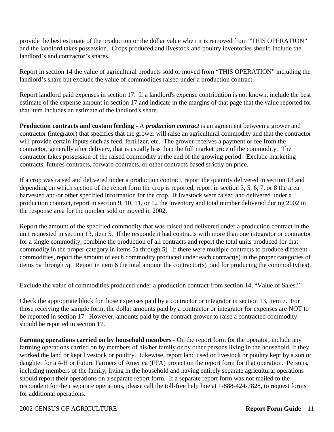provide the best estimate of the production or the dollar value when it is removed from "THIS OPERATION" and the landlord takes possession. Crops produced and livestock and poultry inventories should include the landlord's and contractor's shares.

Report in section 14 the value of agricultural products sold or moved from "THIS OPERATION" including the landlord's share but exclude the value of commodities raised under a production contract.

Report landlord paid expenses in section 17. If a landlord's expense contribution is not known, include the best estimate of the expense amount in section 17 and indicate in the margins of that page that the value reported for that item includes an estimate of the landlord's share.

**Production contracts and custom feeding -** A *production contract* is an agreement between a grower and contractor (integrator) that specifies that the grower will raise an agricultural commodity and that the contractor will provide certain inputs such as feed, fertilizer, etc. The grower receives a payment or fee from the contractor, generally after delivery, that is usually less than the full market price of the commodity. The contractor takes possession of the raised commodity at the end of the growing period. Exclude marketing contracts, futures contracts, forward contracts, or other contracts based strictly on price.

If a crop was raised and delivered under a production contract, report the quantity delivered in section 13 and depending on which section of the report form the crop is reported, report in section 3, 5, 6, 7, or 8 the area harvested and/or other specified information for the crop. If livestock were raised and delivered under a production contract, report in section 9, 10, 11, or 12 the inventory and total number delivered during 2002 in the response area for the number sold or moved in 2002.

Report the amount of the specified commodity that was raised and delivered under a production contract in the unit requested in section 13, item 5. If the respondent had contracts with more than one integrator or contractor for a single commodity, combine the production of all contracts and report the total units produced for that commodity in the proper category in items 5a through 5j. If there were multiple contracts to produce different commodities, report the amount of each commodity produced under each contract(s) in the proper categories of items 5a through 5j. Report in item 6 the total amount the contractor(s) paid for producing the commodity(ies).

Exclude the value of commodities produced under a production contract from section 14, "Value of Sales."

Check the appropriate block for those expenses paid by a contractor or integrator in section 13, item 7. For those receiving the sample form, the dollar amounts paid by a contractor or integrator for expenses are NOT to be reported in section 17. However, amounts paid by the contract grower to raise a contracted commodity should be reported in section 17.

**Farming operations carried on by household members -** On the report form for the operator, include any farming operations carried on by members of his/her family or by other persons living in the household, if they worked the land or kept livestock or poultry. Likewise, report land used or livestock or poultry kept by a son or daughter for a 4-H or Future Farmers of America (FFA) project on the report form for that operation. Persons, including members of the family, living in the household and having entirely separate agricultural operations should report their operations on a separate report form. If a separate report form was not mailed to the respondent for their separate operations, please call the toll-free help line at 1-888-424-7828, to request forms for additional operations.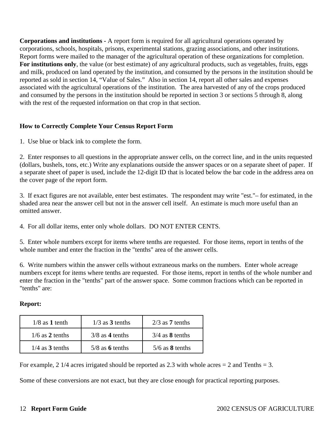**Corporations and institutions -** A report form is required for all agricultural operations operated by corporations, schools, hospitals, prisons, experimental stations, grazing associations, and other institutions. Report forms were mailed to the manager of the agricultural operation of these organizations for completion. **For institutions only**, the value (or best estimate) of any agricultural products, such as vegetables, fruits, eggs and milk, produced on land operated by the institution, and consumed by the persons in the institution should be reported as sold in section 14, "Value of Sales." Also in section 14, report all other sales and expenses associated with the agricultural operations of the institution. The area harvested of any of the crops produced and consumed by the persons in the institution should be reported in section 3 or sections 5 through 8, along with the rest of the requested information on that crop in that section.

### **How to Correctly Complete Your Census Report Form**

1. Use blue or black ink to complete the form.

2. Enter responses to all questions in the appropriate answer cells, on the correct line, and in the units requested (dollars, bushels, tons, etc.) Write any explanations outside the answer spaces or on a separate sheet of paper. If a separate sheet of paper is used, include the 12-digit ID that is located below the bar code in the address area on the cover page of the report form.

3. If exact figures are not available, enter best estimates. The respondent may write "est."– for estimated, in the shaded area near the answer cell but not in the answer cell itself. An estimate is much more useful than an omitted answer.

4. For all dollar items, enter only whole dollars. DO NOT ENTER CENTS.

5. Enter whole numbers except for items where tenths are requested. For those items, report in tenths of the whole number and enter the fraction in the "tenths" area of the answer cells.

6. Write numbers within the answer cells without extraneous marks on the numbers. Enter whole acreage numbers except for items where tenths are requested. For those items, report in tenths of the whole number and enter the fraction in the "tenths" part of the answer space. Some common fractions which can be reported in "tenths" are:

### **Report:**

| $1/8$ as 1 tenth  | $1/3$ as 3 tenths | $2/3$ as <b>7</b> tenths |
|-------------------|-------------------|--------------------------|
| $1/6$ as 2 tenths | $3/8$ as 4 tenths | $3/4$ as <b>8</b> tenths |
| $1/4$ as 3 tenths | $5/8$ as 6 tenths | $5/6$ as <b>8</b> tenths |

For example, 2 1/4 acres irrigated should be reported as 2.3 with whole acres  $= 2$  and Tenths  $= 3$ .

Some of these conversions are not exact, but they are close enough for practical reporting purposes.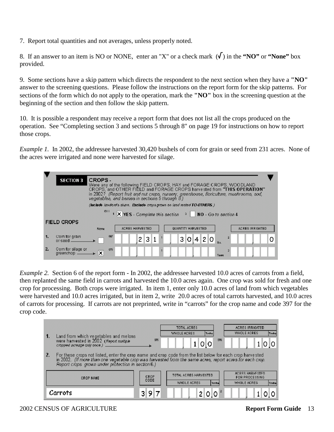7. Report total quantities and not averages, unless properly noted.

8. If an answer to an item is NO or NONE, enter an "X" or a check mark  $(\sqrt{\ } )$  in the **"NO"** or **"None"** box provided.

9. Some sections have a skip pattern which directs the respondent to the next section when they have a **"NO"** answer to the screening questions. Please follow the instructions on the report form for the skip patterns. For sections of the form which do not apply to the operation, mark the **"NO"** box in the screening question at the beginning of the section and then follow the skip pattern.

10. It is possible a respondent may receive a report form that does not list all the crops produced on the operation. See "Completing section 3 and sections 5 through 8" on page 19 for instructions on how to report those crops.

*Example 1.* In 2002, the addressee harvested 30,420 bushels of corn for grain or seed from 231 acres. None of the acres were irrigated and none were harvested for silage.



*Example 2.* Section 6 of the report form - In 2002, the addressee harvested 10.0 acres of carrots from a field, then replanted the same field in carrots and harvested the 10.0 acres again. One crop was sold for fresh and one crop for processing. Both crops were irrigated. In item 1, enter only 10.0 acres of land from which vegetables were harvested and 10.0 acres irrigated, but in item 2, write 20.0 acres of total carrots harvested, and 10.0 acres of carrots for processing. If carrots are not preprinted, write in "carrots" for the crop name and code 397 for the crop code.

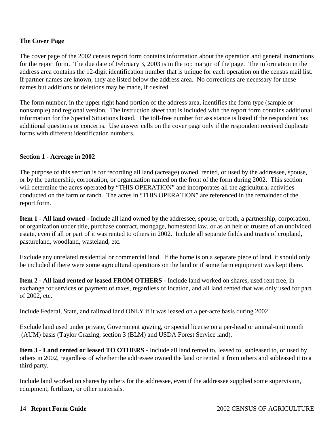### **The Cover Page**

The cover page of the 2002 census report form contains information about the operation and general instructions for the report form. The due date of February 3, 2003 is in the top margin of the page. The information in the address area contains the 12-digit identification number that is unique for each operation on the census mail list. If partner names are known, they are listed below the address area. No corrections are necessary for these names but additions or deletions may be made, if desired.

The form number, in the upper right hand portion of the address area, identifies the form type (sample or nonsample) and regional version. The instruction sheet that is included with the report form contains additional information for the Special Situations listed. The toll-free number for assistance is listed if the respondent has additional questions or concerns. Use answer cells on the cover page only if the respondent received duplicate forms with different identification numbers.

### **Section 1 - Acreage in 2002**

The purpose of this section is for recording all land (acreage) owned, rented, or used by the addressee, spouse, or by the partnership, corporation, or organization named on the front of the form during 2002. This section will determine the acres operated by "THIS OPERATION" and incorporates all the agricultural activities conducted on the farm or ranch. The acres in "THIS OPERATION" are referenced in the remainder of the report form.

**Item 1 - All land owned -** Include all land owned by the addressee, spouse, or both, a partnership, corporation, or organization under title, purchase contract, mortgage, homestead law, or as an heir or trustee of an undivided estate, even if all or part of it was rented to others in 2002. Include all separate fields and tracts of cropland, pastureland, woodland, wasteland, etc.

Exclude any unrelated residential or commercial land. If the home is on a separate piece of land, it should only be included if there were some agricultural operations on the land or if some farm equipment was kept there.

**Item 2 - All land rented or leased FROM OTHERS -** Include land worked on shares, used rent free, in exchange for services or payment of taxes, regardless of location, and all land rented that was only used for part of 2002, etc.

Include Federal, State, and railroad land ONLY if it was leased on a per-acre basis during 2002.

Exclude land used under private, Government grazing, or special license on a per-head or animal-unit month (AUM) basis (Taylor Grazing, section 3 (BLM) and USDA Forest Service land).

**Item 3 - Land rented or leased TO OTHERS -** Include all land rented to, leased to, subleased to, or used by others in 2002, regardless of whether the addressee owned the land or rented it from others and subleased it to a third party.

Include land worked on shares by others for the addressee, even if the addressee supplied some supervision, equipment, fertilizer, or other materials.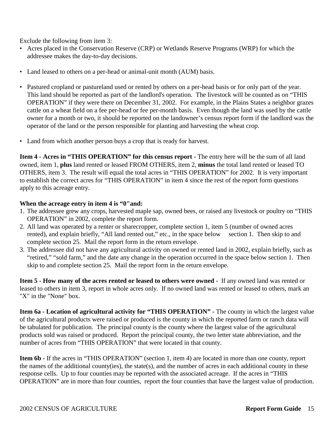Exclude the following from item 3:

- Acres placed in the Conservation Reserve (CRP) or Wetlands Reserve Programs (WRP) for which the addressee makes the day-to-day decisions.
- Land leased to others on a per-head or animal-unit month (AUM) basis.
- Pastured cropland or pastureland used or rented by others on a per-head basis or for only part of the year. This land should be reported as part of the landlord's operation. The livestock will be counted as on "THIS OPERATION" if they were there on December 31, 2002. For example, in the Plains States a neighbor grazes cattle on a wheat field on a fee per-head or fee per-month basis. Even though the land was used by the cattle owner for a month or two, it should be reported on the landowner's census report form if the landlord was the operator of the land or the person responsible for planting and harvesting the wheat crop.
- Land from which another person buys a crop that is ready for harvest.

**Item 4 - Acres in "THIS OPERATION" for this census report -** The entry here will be the sum of all land owned, item 1, **plus** land rented or leased FROM OTHERS, item 2, **minus** the total land rented or leased TO OTHERS, item 3. The result will equal the total acres in "THIS OPERATION" for 2002. It is very important to establish the correct acres for "THIS OPERATION" in item 4 since the rest of the report form questions apply to this acreage entry.

### **When the acreage entry in item 4 is "0"and:**

- 1. The addressee grew any crops, harvested maple sap, owned bees, or raised any livestock or poultry on "THIS OPERATION" in 2002, complete the report form.
- 2. All land was operated by a renter or sharecropper, complete section 1, item 5 (number of owned acres rented), and explain briefly, "All land rented out," etc., in the space below section 1. Then skip to and complete section 25. Mail the report form in the return envelope.
- 3. The addressee did not have any agricultural activity on owned or rented land in 2002, explain briefly, such as "retired," "sold farm," and the date any change in the operation occurred in the space below section 1. Then skip to and complete section 25. Mail the report form in the return envelope.

**Item 5 - How many of the acres rented or leased to others were owned -** If any owned land was rented or leased to others in item 3, report in whole acres only. If no owned land was rented or leased to others, mark an "X" in the "None" box.

**Item 6a - Location of agricultural activity for "THIS OPERATION" -** The county in which the largest value of the agricultural products were raised or produced is the county in which the reported farm or ranch data will be tabulated for publication. The principal county is the county where the largest value of the agricultural products sold was raised or produced. Report the principal county, the two letter state abbreviation, and the number of acres from "THIS OPERATION" that were located in that county.

**Item 6b -** If the acres in "THIS OPERATION" (section 1, item 4) are located in more than one county, report the names of the additional county(ies), the state(s), and the number of acres in each additional county in these response cells. Up to four counties may be reported with the associated acreage. If the acres in "THIS OPERATION" are in more than four counties, report the four counties that have the largest value of production.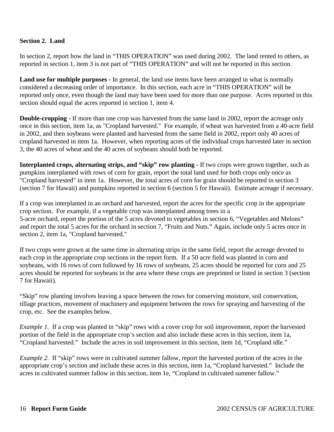### **Section 2. Land**

In section 2, report how the land in "THIS OPERATION" was used during 2002. The land rented to others, as reported in section 1, item 3 is not part of "THIS OPERATION" and will not be reported in this section.

**Land use for multiple purposes -** In general, the land use items have been arranged in what is normally considered a decreasing order of importance. In this section, each acre in "THIS OPERATION" will be reported only once, even though the land may have been used for more than one purpose. Acres reported in this section should equal the acres reported in section 1, item 4.

**Double-cropping** - If more than one crop was harvested from the same land in 2002, report the acreage only once in this section, item 1a, as "Cropland harvested." For example, if wheat was harvested from a 40-acre field in 2002, and then soybeans were planted and harvested from the same field in 2002, report only 40 acres of cropland harvested in item 1a. However, when reporting acres of the individual crops harvested later in section 3, the 40 acres of wheat and the 40 acres of soybeans should both be reported.

**Interplanted crops, alternating strips, and "skip" row planting -** If two crops were grown together, such as pumpkins interplanted with rows of corn for grain, report the total land used for both crops only once as "Cropland harvested" in item 1a. However, the total acres of corn for grain should be reported in section 3 (section 7 for Hawaii) and pumpkins reported in section 6 (section 5 for Hawaii). Estimate acreage if necessary.

If a crop was interplanted in an orchard and harvested, report the acres for the specific crop in the appropriate crop section. For example, if a vegetable crop was interplanted among trees in a 5-acre orchard, report the portion of the 5 acres devoted to vegetables in section 6, "Vegetables and Melons" and report the total 5 acres for the orchard in section 7, "Fruits and Nuts." Again, include only 5 acres once in section 2, item 1a, "Cropland harvested."

If two crops were grown at the same time in alternating strips in the same field, report the acreage devoted to each crop in the appropriate crop sections in the report form. If a 50 acre field was planted in corn and soybeans, with 16 rows of corn followed by 16 rows of soybeans, 25 acres should be reported for corn and 25 acres should be reported for soybeans in the area where these crops are preprinted or listed in section 3 (section 7 for Hawaii).

"Skip" row planting involves leaving a space between the rows for conserving moisture, soil conservation, tillage practices, movement of machinery and equipment between the rows for spraying and harvesting of the crop, etc. See the examples below.

*Example 1.* If a crop was planted in "skip" rows with a cover crop for soil improvement, report the harvested portion of the field in the appropriate crop's section and also include these acres in this section, item 1a, "Cropland harvested." Include the acres in soil improvement in this section, item 1d, "Cropland idle."

*Example 2.* If "skip" rows were in cultivated summer fallow, report the harvested portion of the acres in the appropriate crop's section and include these acres in this section, item 1a, "Cropland harvested." Include the acres in cultivated summer fallow in this section, item 1e, "Cropland in cultivated summer fallow."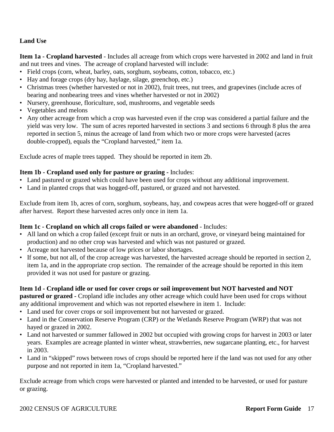### **Land Use**

**Item 1a - Cropland harvested** - Includes all acreage from which crops were harvested in 2002 and land in fruit and nut trees and vines. The acreage of cropland harvested will include:

- Field crops (corn, wheat, barley, oats, sorghum, soybeans, cotton, tobacco, etc.)
- Hay and forage crops (dry hay, haylage, silage, greenchop, etc.)
- Christmas trees (whether harvested or not in 2002), fruit trees, nut trees, and grapevines (include acres of bearing and nonbearing trees and vines whether harvested or not in 2002)
- Nursery, greenhouse, floriculture, sod, mushrooms, and vegetable seeds
- Vegetables and melons
- Any other acreage from which a crop was harvested even if the crop was considered a partial failure and the yield was very low. The sum of acres reported harvested in sections 3 and sections 6 through 8 plus the area reported in section 5, minus the acreage of land from which two or more crops were harvested (acres double-cropped), equals the "Cropland harvested," item 1a.

Exclude acres of maple trees tapped. They should be reported in item 2b.

### **Item 1b - Cropland used only for pasture or grazing -** Includes:

- Land pastured or grazed which could have been used for crops without any additional improvement.
- Land in planted crops that was hogged-off, pastured, or grazed and not harvested.

Exclude from item 1b, acres of corn, sorghum, soybeans, hay, and cowpeas acres that were hogged-off or grazed after harvest. Report these harvested acres only once in item 1a.

### **Item 1c - Cropland on which all crops failed or were abandoned** - Includes:

- All land on which a crop failed (except fruit or nuts in an orchard, grove, or vineyard being maintained for production) and no other crop was harvested and which was not pastured or grazed.
- Acreage not harvested because of low prices or labor shortages.
- If some, but not all, of the crop acreage was harvested, the harvested acreage should be reported in section 2, item 1a, and in the appropriate crop section. The remainder of the acreage should be reported in this item provided it was not used for pasture or grazing.

### **Item 1d - Cropland idle or used for cover crops or soil improvement but NOT harvested and NOT**

**pastured or grazed -** Cropland idle includes any other acreage which could have been used for crops without any additional improvement and which was not reported elsewhere in item 1. Include:

- Land used for cover crops or soil improvement but not harvested or grazed.
- Land in the Conservation Reserve Program (CRP) or the Wetlands Reserve Program (WRP) that was not hayed or grazed in 2002.
- Land not harvested or summer fallowed in 2002 but occupied with growing crops for harvest in 2003 or later years. Examples are acreage planted in winter wheat, strawberries, new sugarcane planting, etc., for harvest in 2003.
- Land in "skipped" rows between rows of crops should be reported here if the land was not used for any other purpose and not reported in item 1a, "Cropland harvested."

Exclude acreage from which crops were harvested or planted and intended to be harvested, or used for pasture or grazing.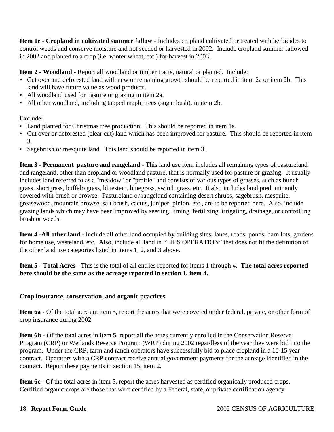**Item 1e - Cropland in cultivated summer fallow** - Includes cropland cultivated or treated with herbicides to control weeds and conserve moisture and not seeded or harvested in 2002. Include cropland summer fallowed in 2002 and planted to a crop (i.e. winter wheat, etc.) for harvest in 2003.

**Item 2 - Woodland -** Report all woodland or timber tracts, natural or planted. Include:

- Cut over and deforested land with new or remaining growth should be reported in item 2a or item 2b. This land will have future value as wood products.
- All woodland used for pasture or grazing in item 2a.
- All other woodland, including tapped maple trees (sugar bush), in item 2b.

Exclude:

- Land planted for Christmas tree production. This should be reported in item 1a.
- Cut over or deforested (clear cut) land which has been improved for pasture. This should be reported in item 3.
- Sagebrush or mesquite land. This land should be reported in item 3.

**Item 3 - Permanent pasture and rangeland** - This land use item includes all remaining types of pastureland and rangeland, other than cropland or woodland pasture, that is normally used for pasture or grazing. It usually includes land referred to as a "meadow" or "prairie" and consists of various types of grasses, such as bunch grass, shortgrass, buffalo grass, bluestem, bluegrass, switch grass, etc. It also includes land predominantly covered with brush or browse. Pastureland or rangeland containing desert shrubs, sagebrush, mesquite, greasewood, mountain browse, salt brush, cactus, juniper, pinion, etc., are to be reported here. Also, include grazing lands which may have been improved by seeding, liming, fertilizing, irrigating, drainage, or controlling brush or weeds.

**Item 4 -All other land** - Include all other land occupied by building sites, lanes, roads, ponds, barn lots, gardens for home use, wasteland, etc. Also, include all land in "THIS OPERATION" that does not fit the definition of the other land use categories listed in items 1, 2, and 3 above.

**Item 5 - Total Acres -** This is the total of all entries reported for items 1 through 4. **The total acres reported here should be the same as the acreage reported in section 1, item 4.**

### **Crop insurance, conservation, and organic practices**

**Item 6a -** Of the total acres in item 5, report the acres that were covered under federal, private, or other form of crop insurance during 2002.

**Item 6b -** Of the total acres in item 5, report all the acres currently enrolled in the Conservation Reserve Program (CRP) or Wetlands Reserve Program (WRP) during 2002 regardless of the year they were bid into the program. Under the CRP, farm and ranch operators have successfully bid to place cropland in a 10-15 year contract. Operators with a CRP contract receive annual government payments for the acreage identified in the contract. Report these payments in section 15, item 2.

**Item 6c -** Of the total acres in item 5, report the acres harvested as certified organically produced crops. Certified organic crops are those that were certified by a Federal, state, or private certification agency.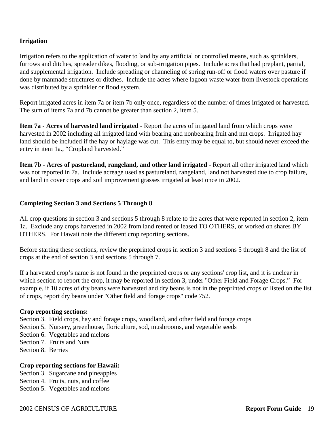### **Irrigation**

Irrigation refers to the application of water to land by any artificial or controlled means, such as sprinklers, furrows and ditches, spreader dikes, flooding, or sub-irrigation pipes. Include acres that had preplant, partial, and supplemental irrigation. Include spreading or channeling of spring run-off or flood waters over pasture if done by manmade structures or ditches. Include the acres where lagoon waste water from livestock operations was distributed by a sprinkler or flood system.

Report irrigated acres in item 7a or item 7b only once, regardless of the number of times irrigated or harvested. The sum of items 7a and 7b cannot be greater than section 2, item 5.

**Item 7a - Acres of harvested land irrigated** - Report the acres of irrigated land from which crops were harvested in 2002 including all irrigated land with bearing and nonbearing fruit and nut crops. Irrigated hay land should be included if the hay or haylage was cut. This entry may be equal to, but should never exceed the entry in item 1a., "Cropland harvested."

**Item 7b - Acres of pastureland, rangeland, and other land irrigated** - Report all other irrigated land which was not reported in 7a. Include acreage used as pastureland, rangeland, land not harvested due to crop failure, and land in cover crops and soil improvement grasses irrigated at least once in 2002.

### **Completing Section 3 and Sections 5 Through 8**

All crop questions in section 3 and sections 5 through 8 relate to the acres that were reported in section 2, item 1a. Exclude any crops harvested in 2002 from land rented or leased TO OTHERS, or worked on shares BY OTHERS. For Hawaii note the different crop reporting sections.

Before starting these sections, review the preprinted crops in section 3 and sections 5 through 8 and the list of crops at the end of section 3 and sections 5 through 7.

If a harvested crop's name is not found in the preprinted crops or any sections' crop list, and it is unclear in which section to report the crop, it may be reported in section 3, under "Other Field and Forage Crops." For example, if 10 acres of dry beans were harvested and dry beans is not in the preprinted crops or listed on the list of crops, report dry beans under "Other field and forage crops" code 752.

### **Crop reporting sections:**

Section 3. Field crops, hay and forage crops, woodland, and other field and forage crops

- Section 5. Nursery, greenhouse, floriculture, sod, mushrooms, and vegetable seeds
- Section 6. Vegetables and melons
- Section 7. Fruits and Nuts
- Section 8. Berries

### **Crop reporting sections for Hawaii:**

Section 3. Sugarcane and pineapples

- Section 4. Fruits, nuts, and coffee
- Section 5. Vegetables and melons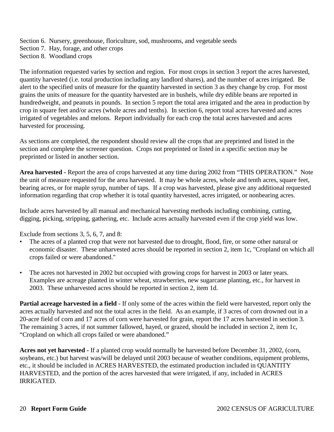Section 6. Nursery, greenhouse, floriculture, sod, mushrooms, and vegetable seeds Section 7. Hay, forage, and other crops Section 8. Woodland crops

The information requested varies by section and region. For most crops in section 3 report the acres harvested, quantity harvested (i.e. total production including any landlord shares), and the number of acres irrigated. Be alert to the specified units of measure for the quantity harvested in section 3 as they change by crop. For most grains the units of measure for the quantity harvested are in bushels, while dry edible beans are reported in hundredweight, and peanuts in pounds. In section 5 report the total area irrigated and the area in production by crop in square feet and/or acres (whole acres and tenths). In section 6, report total acres harvested and acres irrigated of vegetables and melons. Report individually for each crop the total acres harvested and acres harvested for processing.

As sections are completed, the respondent should review all the crops that are preprinted and listed in the section and complete the screener question. Crops not preprinted or listed in a specific section may be preprinted or listed in another section.

**Area harvested -** Report the area of crops harvested at any time during 2002 from "THIS OPERATION." Note the unit of measure requested for the area harvested. It may be whole acres, whole and tenth acres, square feet, bearing acres, or for maple syrup, number of taps. If a crop was harvested, please give any additional requested information regarding that crop whether it is total quantity harvested, acres irrigated, or nonbearing acres.

Include acres harvested by all manual and mechanical harvesting methods including combining, cutting, digging, picking, stripping, gathering, etc. Include acres actually harvested even if the crop yield was low.

Exclude from sections 3, 5, 6, 7, and 8:

- The acres of a planted crop that were not harvested due to drought, flood, fire, or some other natural or economic disaster. These unharvested acres should be reported in section 2, item 1c, "Cropland on which all crops failed or were abandoned."
- The acres not harvested in 2002 but occupied with growing crops for harvest in 2003 or later years. Examples are acreage planted in winter wheat, strawberries, new sugarcane planting, etc., for harvest in 2003. These unharvested acres should be reported in section 2, item 1d.

**Partial acreage harvested in a field** - If only some of the acres within the field were harvested, report only the acres actually harvested and not the total acres in the field. As an example, if 3 acres of corn drowned out in a 20-acre field of corn and 17 acres of corn were harvested for grain, report the 17 acres harvested in section 3. The remaining 3 acres, if not summer fallowed, hayed, or grazed, should be included in section 2, item 1c, "Cropland on which all crops failed or were abandoned."

**Acres not yet harvested -** If a planted crop would normally be harvested before December 31, 2002, (corn, soybeans, etc.) but harvest was/will be delayed until 2003 because of weather conditions, equipment problems, etc., it should be included in ACRES HARVESTED, the estimated production included in QUANTITY HARVESTED, and the portion of the acres harvested that were irrigated, if any, included in ACRES IRRIGATED.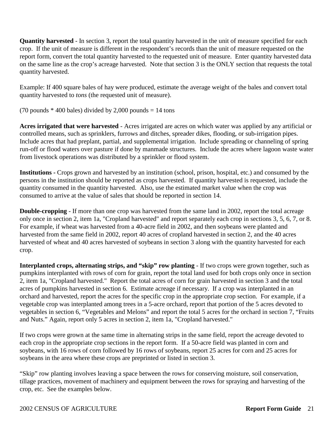**Quantity harvested** - In section 3, report the total quantity harvested in the unit of measure specified for each crop. If the unit of measure is different in the respondent's records than the unit of measure requested on the report form, convert the total quantity harvested to the requested unit of measure. Enter quantity harvested data on the same line as the crop's acreage harvested. Note that section 3 is the ONLY section that requests the total quantity harvested.

Example: If 400 square bales of hay were produced, estimate the average weight of the bales and convert total quantity harvested to *tons* (the requested unit of measure).

(70 pounds  $*$  400 bales) divided by 2,000 pounds = 14 tons

**Acres irrigated that were harvested** - Acres irrigated are acres on which water was applied by any artificial or controlled means, such as sprinklers, furrows and ditches, spreader dikes, flooding, or sub-irrigation pipes. Include acres that had preplant, partial, and supplemental irrigation. Include spreading or channeling of spring run-off or flood waters over pasture if done by manmade structures. Include the acres where lagoon waste water from livestock operations was distributed by a sprinkler or flood system.

**Institutions -** Crops grown and harvested by an institution (school, prison, hospital, etc.) and consumed by the persons in the institution should be reported as crops harvested. If quantity harvested is requested, include the quantity consumed in the quantity harvested. Also, use the estimated market value when the crop was consumed to arrive at the value of sales that should be reported in section 14.

**Double-cropping** - If more than one crop was harvested from the same land in 2002, report the total acreage only once in section 2, item 1a, "Cropland harvested" and report separately each crop in sections 3, 5, 6, 7, or 8. For example, if wheat was harvested from a 40-acre field in 2002, and then soybeans were planted and harvested from the same field in 2002, report 40 acres of cropland harvested in section 2, and the 40 acres harvested of wheat and 40 acres harvested of soybeans in section 3 along with the quantity harvested for each crop.

**Interplanted crops, alternating strips, and "skip" row planting** - If two crops were grown together, such as pumpkins interplanted with rows of corn for grain, report the total land used for both crops only once in section 2, item 1a, "Cropland harvested." Report the total acres of corn for grain harvested in section 3 and the total acres of pumpkins harvested in section 6. Estimate acreage if necessary. If a crop was interplanted in an orchard and harvested, report the acres for the specific crop in the appropriate crop section. For example, if a vegetable crop was interplanted among trees in a 5-acre orchard, report that portion of the 5 acres devoted to vegetables in section 6, "Vegetables and Melons" and report the total 5 acres for the orchard in section 7, "Fruits and Nuts." Again, report only 5 acres in section 2, item 1a, "Cropland harvested."

If two crops were grown at the same time in alternating strips in the same field, report the acreage devoted to each crop in the appropriate crop sections in the report form. If a 50-acre field was planted in corn and soybeans, with 16 rows of corn followed by 16 rows of soybeans, report 25 acres for corn and 25 acres for soybeans in the area where these crops are preprinted or listed in section 3.

"Skip" row planting involves leaving a space between the rows for conserving moisture, soil conservation, tillage practices, movement of machinery and equipment between the rows for spraying and harvesting of the crop, etc. See the examples below.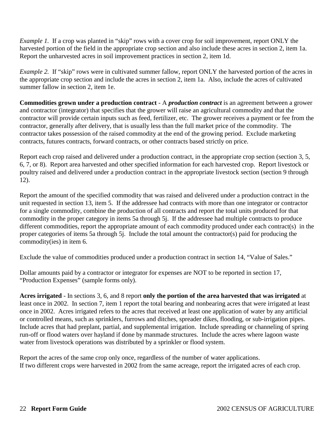*Example 1.* If a crop was planted in "skip" rows with a cover crop for soil improvement, report ONLY the harvested portion of the field in the appropriate crop section and also include these acres in section 2, item 1a. Report the unharvested acres in soil improvement practices in section 2, item 1d.

*Example 2.* If "skip" rows were in cultivated summer fallow, report ONLY the harvested portion of the acres in the appropriate crop section and include the acres in section 2, item 1a. Also, include the acres of cultivated summer fallow in section 2, item 1e.

**Commodities grown under a production contract** - A *production contract* is an agreement between a grower and contractor (integrator) that specifies that the grower will raise an agricultural commodity and that the contractor will provide certain inputs such as feed, fertilizer, etc. The grower receives a payment or fee from the contractor, generally after delivery, that is usually less than the full market price of the commodity. The contractor takes possession of the raised commodity at the end of the growing period. Exclude marketing contracts, futures contracts, forward contracts, or other contracts based strictly on price.

Report each crop raised and delivered under a production contract, in the appropriate crop section (section 3, 5, 6, 7, or 8). Report area harvested and other specified information for each harvested crop. Report livestock or poultry raised and delivered under a production contract in the appropriate livestock section (section 9 through 12).

Report the amount of the specified commodity that was raised and delivered under a production contract in the unit requested in section 13, item 5. If the addressee had contracts with more than one integrator or contractor for a single commodity, combine the production of all contracts and report the total units produced for that commodity in the proper category in items 5a through 5j. If the addressee had multiple contracts to produce different commodities, report the appropriate amount of each commodity produced under each contract(s) in the proper categories of items 5a through 5j. Include the total amount the contractor(s) paid for producing the commodity(ies) in item 6.

Exclude the value of commodities produced under a production contract in section 14, "Value of Sales."

Dollar amounts paid by a contractor or integrator for expenses are NOT to be reported in section 17, "Production Expenses" (sample forms only).

**Acres irrigated** - In sections 3, 6, and 8 report **only the portion of the area harvested that was irrigated** at least once in 2002. In section 7, item 1 report the total bearing and nonbearing acres that were irrigated at least once in 2002. Acres irrigated refers to the acres that received at least one application of water by any artificial or controlled means, such as sprinklers, furrows and ditches, spreader dikes, flooding, or sub-irrigation pipes. Include acres that had preplant, partial, and supplemental irrigation. Include spreading or channeling of spring run-off or flood waters over hayland if done by manmade structures. Include the acres where lagoon waste water from livestock operations was distributed by a sprinkler or flood system.

Report the acres of the same crop only once, regardless of the number of water applications. If two different crops were harvested in 2002 from the same acreage, report the irrigated acres of each crop.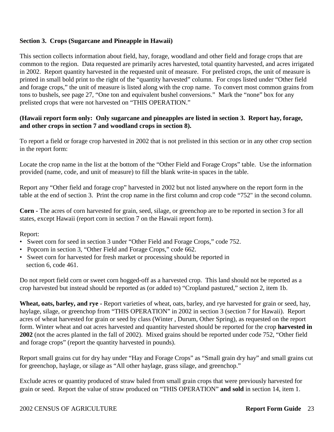### **Section 3. Crops (Sugarcane and Pineapple in Hawaii)**

This section collects information about field, hay, forage, woodland and other field and forage crops that are common to the region. Data requested are primarily acres harvested, total quantity harvested, and acres irrigated in 2002. Report quantity harvested in the requested unit of measure. For prelisted crops, the unit of measure is printed in small bold print to the right of the "quantity harvested" column. For crops listed under "Other field and forage crops," the unit of measure is listed along with the crop name. To convert most common grains from tons to bushels, see page 27, "One ton and equivalent bushel conversions." Mark the "none" box for any prelisted crops that were not harvested on "THIS OPERATION."

### **(Hawaii report form only: Only sugarcane and pineapples are listed in section 3. Report hay, forage, and other crops in section 7 and woodland crops in section 8).**

To report a field or forage crop harvested in 2002 that is not prelisted in this section or in any other crop section in the report form:

Locate the crop name in the list at the bottom of the "Other Field and Forage Crops" table. Use the information provided (name, code, and unit of measure) to fill the blank write-in spaces in the table.

Report any "Other field and forage crop" harvested in 2002 but not listed anywhere on the report form in the table at the end of section 3. Print the crop name in the first column and crop code "752" in the second column.

**Corn -** The acres of corn harvested for grain, seed, silage, or greenchop are to be reported in section 3 for all states, except Hawaii (report corn in section 7 on the Hawaii report form).

Report:

- Sweet corn for seed in section 3 under "Other Field and Forage Crops," code 752.
- Popcorn in section 3, "Other Field and Forage Crops," code 662.
- Sweet corn for harvested for fresh market or processing should be reported in section 6, code 461.

Do not report field corn or sweet corn hogged-off as a harvested crop. This land should not be reported as a crop harvested but instead should be reported as (or added to) "Cropland pastured," section 2, item 1b.

Wheat, oats, barley, and rye - Report varieties of wheat, oats, barley, and rye harvested for grain or seed, hay, haylage, silage, or greenchop from "THIS OPERATION" in 2002 in section 3 (section 7 for Hawaii). Report acres of wheat harvested for grain or seed by class (Winter , Durum, Other Spring), as requested on the report form. Winter wheat and oat acres harvested and quantity harvested should be reported for the crop **harvested in 2002** (not the acres planted in the fall of 2002). Mixed grains should be reported under code 752, "Other field and forage crops" (report the quantity harvested in pounds).

Report small grains cut for dry hay under "Hay and Forage Crops" as "Small grain dry hay" and small grains cut for greenchop, haylage, or silage as "All other haylage, grass silage, and greenchop."

Exclude acres or quantity produced of straw baled from small grain crops that were previously harvested for grain or seed. Report the value of straw produced on "THIS OPERATION" **and sold** in section 14, item 1.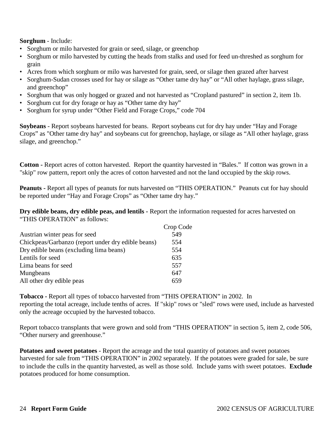### **Sorghum** - Include:

- Sorghum or milo harvested for grain or seed, silage, or greenchop
- Sorghum or milo harvested by cutting the heads from stalks and used for feed un-threshed as sorghum for grain
- Acres from which sorghum or milo was harvested for grain, seed, or silage then grazed after harvest
- Sorghum-Sudan crosses used for hay or silage as "Other tame dry hay" or "All other haylage, grass silage, and greenchop"
- Sorghum that was only hogged or grazed and not harvested as "Cropland pastured" in section 2, item 1b.
- Sorghum cut for dry forage or hay as "Other tame dry hay"
- Sorghum for syrup under "Other Field and Forage Crops," code 704

**Soybeans** - Report soybeans harvested for beans. Report soybeans cut for dry hay under "Hay and Forage Crops" as "Other tame dry hay" and soybeans cut for greenchop, haylage, or silage as "All other haylage, grass silage, and greenchop."

**Cotton -** Report acres of cotton harvested. Report the quantity harvested in "Bales." If cotton was grown in a "skip" row pattern, report only the acres of cotton harvested and not the land occupied by the skip rows.

**Peanuts -** Report all types of peanuts for nuts harvested on "THIS OPERATION." Peanuts cut for hay should be reported under "Hay and Forage Crops" as "Other tame dry hay."

**Dry edible beans, dry edible peas, and lentils -** Report the information requested for acres harvested on "THIS OPERATION" as follows:

|                                                    | Crop Code |
|----------------------------------------------------|-----------|
| Austrian winter peas for seed                      | 549       |
| Chickpeas/Garbanzo (report under dry edible beans) | 554       |
| Dry edible beans (excluding lima beans)            | 554       |
| Lentils for seed                                   | 635       |
| Lima beans for seed                                | 557       |
| Mungbeans                                          | 647       |
| All other dry edible peas                          | 659       |

**Tobacco -** Report all types of tobacco harvested from "THIS OPERATION" in 2002. In reporting the total acreage, include tenths of acres. If "skip" rows or "sled" rows were used, include as harvested only the acreage occupied by the harvested tobacco.

Report tobacco transplants that were grown and sold from "THIS OPERATION" in section 5, item 2, code 506, "Other nursery and greenhouse."

**Potatoes and sweet potatoes** - Report the acreage and the total quantity of potatoes and sweet potatoes harvested for sale from "THIS OPERATION" in 2002 separately. If the potatoes were graded for sale, be sure to include the culls in the quantity harvested, as well as those sold. Include yams with sweet potatoes. **Exclude** potatoes produced for home consumption.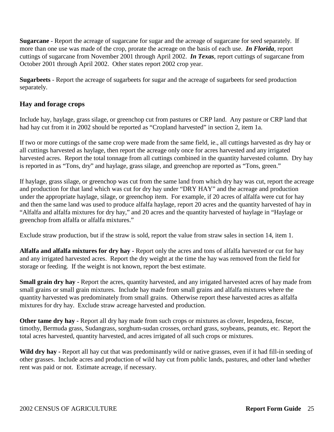**Sugarcane** - Report the acreage of sugarcane for sugar and the acreage of sugarcane for seed separately. If more than one use was made of the crop, prorate the acreage on the basis of each use. *In Florida*, report cuttings of sugarcane from November 2001 through April 2002. *In Texas*, report cuttings of sugarcane from October 2001 through April 2002. Other states report 2002 crop year.

**Sugarbeets** - Report the acreage of sugarbeets for sugar and the acreage of sugarbeets for seed production separately.

### **Hay and forage crops**

Include hay, haylage, grass silage, or greenchop cut from pastures or CRP land. Any pasture or CRP land that had hay cut from it in 2002 should be reported as "Cropland harvested" in section 2, item 1a.

If two or more cuttings of the same crop were made from the same field, ie., all cuttings harvested as dry hay or all cuttings harvested as haylage, then report the acreage only once for acres harvested and any irrigated harvested acres. Report the total tonnage from all cuttings combined in the quantity harvested column. Dry hay is reported in as "Tons, dry" and haylage, grass silage, and greenchop are reported as "Tons, green."

If haylage, grass silage, or greenchop was cut from the same land from which dry hay was cut, report the acreage and production for that land which was cut for dry hay under "DRY HAY" and the acreage and production under the appropriate haylage, silage, or greenchop item. For example, if 20 acres of alfalfa were cut for hay and then the same land was used to produce alfalfa haylage, report 20 acres and the quantity harvested of hay in "Alfalfa and alfalfa mixtures for dry hay," and 20 acres and the quantity harvested of haylage in "Haylage or greenchop from alfalfa or alfalfa mixtures."

Exclude straw production, but if the straw is sold, report the value from straw sales in section 14, item 1.

**Alfalfa and alfalfa mixtures for dry hay -** Report only the acres and tons of alfalfa harvested or cut for hay and any irrigated harvested acres. Report the dry weight at the time the hay was removed from the field for storage or feeding. If the weight is not known, report the best estimate.

**Small grain dry hay -** Report the acres, quantity harvested, and any irrigated harvested acres of hay made from small grains or small grain mixtures. Include hay made from small grains and alfalfa mixtures where the quantity harvested was predominately from small grains. Otherwise report these harvested acres as alfalfa mixtures for dry hay. Exclude straw acreage harvested and production.

**Other tame dry hay - Report all dry hay made from such crops or mixtures as clover, lespedeza, fescue,** timothy, Bermuda grass, Sudangrass, sorghum-sudan crosses, orchard grass, soybeans, peanuts, etc. Report the total acres harvested, quantity harvested, and acres irrigated of all such crops or mixtures.

Wild dry hay - Report all hay cut that was predominantly wild or native grasses, even if it had fill-in seeding of other grasses. Include acres and production of wild hay cut from public lands, pastures, and other land whether rent was paid or not. Estimate acreage, if necessary.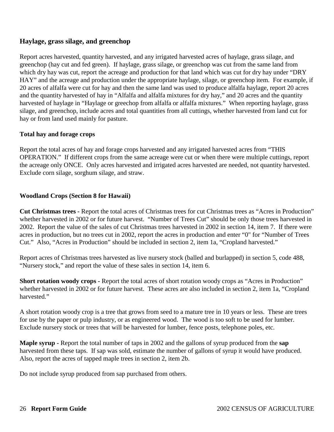### **Haylage, grass silage, and greenchop**

Report acres harvested, quantity harvested, and any irrigated harvested acres of haylage, grass silage, and greenchop (hay cut and fed green). If haylage, grass silage, or greenchop was cut from the same land from which dry hay was cut, report the acreage and production for that land which was cut for dry hay under "DRY" HAY" and the acreage and production under the appropriate haylage, silage, or greenchop item. For example, if 20 acres of alfalfa were cut for hay and then the same land was used to produce alfalfa haylage, report 20 acres and the quantity harvested of hay in "Alfalfa and alfalfa mixtures for dry hay," and 20 acres and the quantity harvested of haylage in "Haylage or greechop from alfalfa or alfalfa mixtures." When reporting haylage, grass silage, and greenchop, include acres and total quantities from all cuttings, whether harvested from land cut for hay or from land used mainly for pasture.

### **Total hay and forage crops**

Report the total acres of hay and forage crops harvested and any irrigated harvested acres from "THIS OPERATION." If different crops from the same acreage were cut or when there were multiple cuttings, report the acreage only ONCE. Only acres harvested and irrigated acres harvested are needed, not quantity harvested. Exclude corn silage, sorghum silage, and straw.

### **Woodland Crops (Section 8 for Hawaii)**

**Cut Christmas trees -** Report the total acres of Christmas trees for cut Christmas trees as "Acres in Production" whether harvested in 2002 or for future harvest. "Number of Trees Cut" should be only those trees harvested in 2002. Report the value of the sales of cut Christmas trees harvested in 2002 in section 14, item 7. If there were acres in production, but no trees cut in 2002, report the acres in production and enter "0" for "Number of Trees Cut." Also, "Acres in Production" should be included in section 2, item 1a, "Cropland harvested."

Report acres of Christmas trees harvested as live nursery stock (balled and burlapped) in section 5, code 488, "Nursery stock," and report the value of these sales in section 14, item 6.

**Short rotation woody crops -** Report the total acres of short rotation woody crops as "Acres in Production" whether harvested in 2002 or for future harvest. These acres are also included in section 2, item 1a, "Cropland harvested."

A short rotation woody crop is a tree that grows from seed to a mature tree in 10 years or less. These are trees for use by the paper or pulp industry, or as engineered wood. The wood is too soft to be used for lumber. Exclude nursery stock or trees that will be harvested for lumber, fence posts, telephone poles, etc.

**Maple syrup -** Report the total number of taps in 2002 and the gallons of syrup produced from the **sap** harvested from these taps. If sap was sold, estimate the number of gallons of syrup it would have produced. Also, report the acres of tapped maple trees in section 2, item 2b.

Do not include syrup produced from sap purchased from others.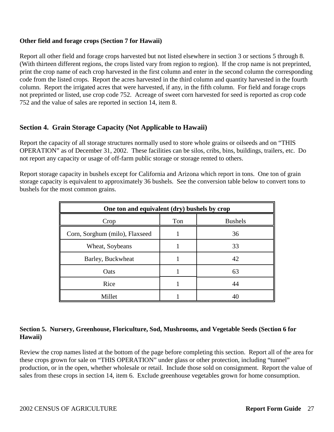### **Other field and forage crops (Section 7 for Hawaii)**

Report all other field and forage crops harvested but not listed elsewhere in section 3 or sections 5 through 8. (With thirteen different regions, the crops listed vary from region to region). If the crop name is not preprinted, print the crop name of each crop harvested in the first column and enter in the second column the corresponding code from the listed crops. Report the acres harvested in the third column and quantity harvested in the fourth column. Report the irrigated acres that were harvested, if any, in the fifth column. For field and forage crops not preprinted or listed, use crop code 752. Acreage of sweet corn harvested for seed is reported as crop code 752 and the value of sales are reported in section 14, item 8.

### **Section 4. Grain Storage Capacity (Not Applicable to Hawaii)**

Report the capacity of all storage structures normally used to store whole grains or oilseeds and on "THIS OPERATION" as of December 31, 2002. These facilities can be silos, cribs, bins, buildings, trailers, etc. Do not report any capacity or usage of off-farm public storage or storage rented to others.

Report storage capacity in bushels except for California and Arizona which report in tons. One ton of grain storage capacity is equivalent to approximately 36 bushels. See the conversion table below to convert tons to bushels for the most common grains.

| One ton and equivalent (dry) bushels by crop |     |                |  |
|----------------------------------------------|-----|----------------|--|
| Crop                                         | Ton | <b>Bushels</b> |  |
| Corn, Sorghum (milo), Flaxseed               |     | 36             |  |
| Wheat, Soybeans                              |     | 33             |  |
| Barley, Buckwheat                            |     | 42             |  |
| Oats                                         |     | 63             |  |
| Rice                                         |     | 44             |  |
| Millet                                       |     |                |  |

### **Section 5. Nursery, Greenhouse, Floriculture, Sod, Mushrooms, and Vegetable Seeds (Section 6 for Hawaii)**

Review the crop names listed at the bottom of the page before completing this section. Report all of the area for these crops grown for sale on "THIS OPERATION" under glass or other protection, including "tunnel" production, or in the open, whether wholesale or retail. Include those sold on consignment. Report the value of sales from these crops in section 14, item 6. Exclude greenhouse vegetables grown for home consumption.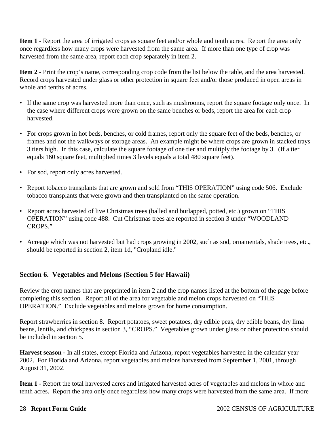**Item 1 - Report the area of irrigated crops as square feet and/or whole and tenth acres. Report the area only** once regardless how many crops were harvested from the same area. If more than one type of crop was harvested from the same area, report each crop separately in item 2.

**Item 2** - Print the crop's name, corresponding crop code from the list below the table, and the area harvested. Record crops harvested under glass or other protection in square feet and/or those produced in open areas in whole and tenths of acres.

- If the same crop was harvested more than once, such as mushrooms, report the square footage only once. In the case where different crops were grown on the same benches or beds, report the area for each crop harvested.
- For crops grown in hot beds, benches, or cold frames, report only the square feet of the beds, benches, or frames and not the walkways or storage areas. An example might be where crops are grown in stacked trays 3 tiers high. In this case, calculate the square footage of one tier and multiply the footage by 3. (If a tier equals 160 square feet, multiplied times 3 levels equals a total 480 square feet).
- For sod, report only acres harvested.
- Report tobacco transplants that are grown and sold from "THIS OPERATION" using code 506. Exclude tobacco transplants that were grown and then transplanted on the same operation.
- Report acres harvested of live Christmas trees (balled and burlapped, potted, etc.) grown on "THIS OPERATION" using code 488. Cut Christmas trees are reported in section 3 under "WOODLAND CROPS."
- Acreage which was not harvested but had crops growing in 2002, such as sod, ornamentals, shade trees, etc., should be reported in section 2, item 1d, "Cropland idle."

### **Section 6. Vegetables and Melons (Section 5 for Hawaii)**

Review the crop names that are preprinted in item 2 and the crop names listed at the bottom of the page before completing this section. Report all of the area for vegetable and melon crops harvested on "THIS OPERATION." Exclude vegetables and melons grown for home consumption.

Report strawberries in section 8. Report potatoes, sweet potatoes, dry edible peas, dry edible beans, dry lima beans, lentils, and chickpeas in section 3, "CROPS." Vegetables grown under glass or other protection should be included in section 5.

**Harvest season -** In all states, except Florida and Arizona, report vegetables harvested in the calendar year 2002. For Florida and Arizona, report vegetables and melons harvested from September 1, 2001, through August 31, 2002.

**Item 1 -** Report the total harvested acres and irrigated harvested acres of vegetables and melons in whole and tenth acres. Report the area only once regardless how many crops were harvested from the same area. If more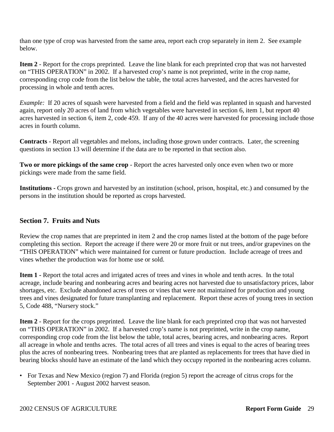than one type of crop was harvested from the same area, report each crop separately in item 2. See example below.

**Item 2** - Report for the crops preprinted. Leave the line blank for each preprinted crop that was not harvested on "THIS OPERATION" in 2002. If a harvested crop's name is not preprinted, write in the crop name, corresponding crop code from the list below the table, the total acres harvested, and the acres harvested for processing in whole and tenth acres.

*Example:* If 20 acres of squash were harvested from a field and the field was replanted in squash and harvested again, report only 20 acres of land from which vegetables were harvested in section 6, item 1, but report 40 acres harvested in section 6, item 2, code 459. If any of the 40 acres were harvested for processing include those acres in fourth column.

**Contracts** - Report all vegetables and melons, including those grown under contracts. Later, the screening questions in section 13 will determine if the data are to be reported in that section also.

**Two or more pickings of the same crop** - Report the acres harvested only once even when two or more pickings were made from the same field.

**Institutions -** Crops grown and harvested by an institution (school, prison, hospital, etc.) and consumed by the persons in the institution should be reported as crops harvested.

### **Section 7. Fruits and Nuts**

Review the crop names that are preprinted in item 2 and the crop names listed at the bottom of the page before completing this section. Report the acreage if there were 20 or more fruit or nut trees, and/or grapevines on the "THIS OPERATION" which were maintained for current or future production. Include acreage of trees and vines whether the production was for home use or sold.

**Item 1 -** Report the total acres and irrigated acres of trees and vines in whole and tenth acres. In the total acreage, include bearing and nonbearing acres and bearing acres not harvested due to unsatisfactory prices, labor shortages, etc. Exclude abandoned acres of trees or vines that were not maintained for production and young trees and vines designated for future transplanting and replacement. Report these acres of young trees in section 5, Code 488, "Nursery stock."

**Item 2** - Report for the crops preprinted. Leave the line blank for each preprinted crop that was not harvested on "THIS OPERATION" in 2002. If a harvested crop's name is not preprinted, write in the crop name, corresponding crop code from the list below the table, total acres, bearing acres, and nonbearing acres. Report all acreage in whole and tenths acres. The total acres of all trees and vines is equal to the acres of bearing trees plus the acres of nonbearing trees. Nonbearing trees that are planted as replacements for trees that have died in bearing blocks should have an estimate of the land which they occupy reported in the nonbearing acres column.

• For Texas and New Mexico (region 7) and Florida (region 5) report the acreage of citrus crops for the September 2001 - August 2002 harvest season.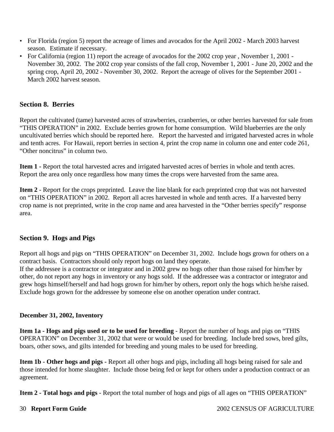- For Florida (region 5) report the acreage of limes and avocados for the April 2002 March 2003 harvest season. Estimate if necessary.
- For California (region 11) report the acreage of avocados for the 2002 crop year , November 1, 2001 November 30, 2002. The 2002 crop year consists of the fall crop, November 1, 2001 - June 20, 2002 and the spring crop, April 20, 2002 - November 30, 2002. Report the acreage of olives for the September 2001 - March 2002 harvest season.

### **Section 8. Berries**

Report the cultivated (tame) harvested acres of strawberries, cranberries, or other berries harvested for sale from "THIS OPERATION" in 2002. Exclude berries grown for home consumption. Wild blueberries are the only uncultivated berries which should be reported here. Report the harvested and irrigated harvested acres in whole and tenth acres. For Hawaii, report berries in section 4, print the crop name in column one and enter code 261, "Other noncitrus" in column two.

**Item 1 -** Report the total harvested acres and irrigated harvested acres of berries in whole and tenth acres. Report the area only once regardless how many times the crops were harvested from the same area.

**Item 2** - Report for the crops preprinted. Leave the line blank for each preprinted crop that was not harvested on "THIS OPERATION" in 2002. Report all acres harvested in whole and tenth acres. If a harvested berry crop name is not preprinted, write in the crop name and area harvested in the "Other berries specify" response area.

### **Section 9. Hogs and Pigs**

Report all hogs and pigs on "THIS OPERATION" on December 31, 2002. Include hogs grown for others on a contract basis. Contractors should only report hogs on land they operate.

If the addressee is a contractor or integrator and in 2002 grew no hogs other than those raised for him/her by other, do not report any hogs in inventory or any hogs sold. If the addressee was a contractor or integrator and grew hogs himself/herself and had hogs grown for him/her by others, report only the hogs which he/she raised. Exclude hogs grown for the addressee by someone else on another operation under contract.

### **December 31, 2002, Inventory**

**Item 1a - Hogs and pigs used or to be used for breeding** - Report the number of hogs and pigs on "THIS OPERATION" on December 31, 2002 that were or would be used for breeding. Include bred sows, bred gilts, boars, other sows, and gilts intended for breeding and young males to be used for breeding.

**Item 1b - Other hogs and pigs -** Report all other hogs and pigs, including all hogs being raised for sale and those intended for home slaughter. Include those being fed or kept for others under a production contract or an agreement.

**Item 2 - Total hogs and pigs** - Report the total number of hogs and pigs of all ages on "THIS OPERATION"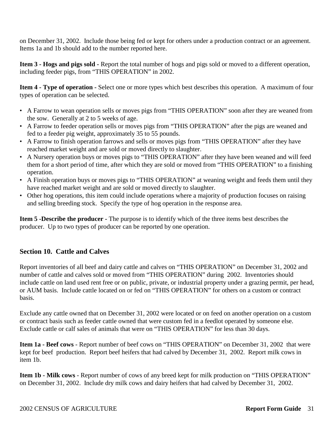on December 31, 2002. Include those being fed or kept for others under a production contract or an agreement. Items 1a and 1b should add to the number reported here.

**Item 3 - Hogs and pigs sold -** Report the total number of hogs and pigs sold or moved to a different operation, including feeder pigs, from "THIS OPERATION" in 2002.

**Item 4 - Type of operation -** Select one or more types which best describes this operation. A maximum of four types of operation can be selected.

- A Farrow to wean operation sells or moves pigs from "THIS OPERATION" soon after they are weaned from the sow. Generally at 2 to 5 weeks of age.
- A Farrow to feeder operation sells or moves pigs from "THIS OPERATION" after the pigs are weaned and fed to a feeder pig weight, approximately 35 to 55 pounds.
- A Farrow to finish operation farrows and sells or moves pigs from "THIS OPERATION" after they have reached market weight and are sold or moved directly to slaughter.
- A Nursery operation buys or moves pigs to "THIS OPERATION" after they have been weaned and will feed them for a short period of time, after which they are sold or moved from "THIS OPERATION" to a finishing operation.
- A Finish operation buys or moves pigs to "THIS OPERATION" at weaning weight and feeds them until they have reached market weight and are sold or moved directly to slaughter.
- Other hog operations, this item could include operations where a majority of production focuses on raising and selling breeding stock. Specify the type of hog operation in the response area.

**Item 5 -Describe the producer -** The purpose is to identify which of the three items best describes the producer. Up to two types of producer can be reported by one operation.

### **Section 10. Cattle and Calves**

Report inventories of all beef and dairy cattle and calves on "THIS OPERATION" on December 31, 2002 and number of cattle and calves sold or moved from "THIS OPERATION" during 2002. Inventories should include cattle on land used rent free or on public, private, or industrial property under a grazing permit, per head, or AUM basis. Include cattle located on or fed on "THIS OPERATION" for others on a custom or contract basis.

Exclude any cattle owned that on December 31, 2002 were located or on feed on another operation on a custom or contract basis such as feeder cattle owned that were custom fed in a feedlot operated by someone else. Exclude cattle or calf sales of animals that were on "THIS OPERATION" for less than 30 days.

**Item 1a - Beef cows** - Report number of beef cows on "THIS OPERATION" on December 31, 2002 that were kept for beef production. Report beef heifers that had calved by December 31, 2002. Report milk cows in item 1b.

**Item 1b - Milk cows** - Report number of cows of any breed kept for milk production on "THIS OPERATION" on December 31, 2002. Include dry milk cows and dairy heifers that had calved by December 31, 2002.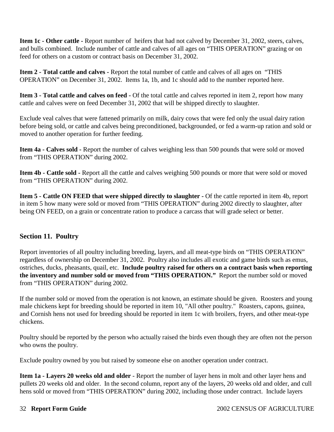**Item 1c - Other cattle -** Report number of heifers that had not calved by December 31, 2002, steers, calves, and bulls combined. Include number of cattle and calves of all ages on "THIS OPERATION" grazing or on feed for others on a custom or contract basis on December 31, 2002.

**Item 2 - Total cattle and calves -** Report the total number of cattle and calves of all ages on "THIS OPERATION" on December 31, 2002. Items 1a, 1b, and 1c should add to the number reported here.

**Item 3 - Total cattle and calves on feed -** Of the total cattle and calves reported in item 2, report how many cattle and calves were on feed December 31, 2002 that will be shipped directly to slaughter.

Exclude veal calves that were fattened primarily on milk, dairy cows that were fed only the usual dairy ration before being sold, or cattle and calves being preconditioned, backgrounded, or fed a warm-up ration and sold or moved to another operation for further feeding.

**Item 4a - Calves sold -** Report the number of calves weighing less than 500 pounds that were sold or moved from "THIS OPERATION" during 2002.

**Item 4b - Cattle sold -** Report all the cattle and calves weighing 500 pounds or more that were sold or moved from "THIS OPERATION" during 2002.

**Item 5 - Cattle ON FEED that were shipped directly to slaughter -** Of the cattle reported in item 4b, report in item 5 how many were sold or moved from "THIS OPERATION" during 2002 directly to slaughter, after being ON FEED, on a grain or concentrate ration to produce a carcass that will grade select or better.

### **Section 11. Poultry**

Report inventories of all poultry including breeding, layers, and all meat-type birds on "THIS OPERATION" regardless of ownership on December 31, 2002. Poultry also includes all exotic and game birds such as emus, ostriches, ducks, pheasants, quail, etc. **Include poultry raised for others on a contract basis when reporting the inventory and number sold or moved from "THIS OPERATION."** Report the number sold or moved from "THIS OPERATION" during 2002.

If the number sold or moved from the operation is not known, an estimate should be given. Roosters and young male chickens kept for breeding should be reported in item 10, "All other poultry." Roasters, capons, guinea, and Cornish hens not used for breeding should be reported in item 1c with broilers, fryers, and other meat-type chickens.

Poultry should be reported by the person who actually raised the birds even though they are often not the person who owns the poultry.

Exclude poultry owned by you but raised by someone else on another operation under contract.

**Item 1a - Layers 20 weeks old and older** - Report the number of layer hens in molt and other layer hens and pullets 20 weeks old and older. In the second column, report any of the layers, 20 weeks old and older, and cull hens sold or moved from "THIS OPERATION" during 2002, including those under contract. Include layers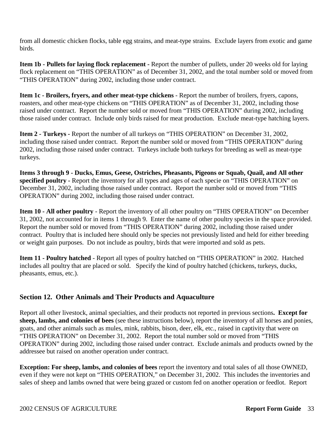from all domestic chicken flocks, table egg strains, and meat-type strains. Exclude layers from exotic and game birds.

**Item 1b - Pullets for laying flock replacement -** Report the number of pullets, under 20 weeks old for laying flock replacement on "THIS OPERATION" as of December 31, 2002, and the total number sold or moved from "THIS OPERATION" during 2002, including those under contract.

**Item 1c - Broilers, fryers, and other meat-type chickens** - Report the number of broilers, fryers, capons, roasters, and other meat-type chickens on "THIS OPERATION" as of December 31, 2002, including those raised under contract. Report the number sold or moved from "THIS OPERATION" during 2002, including those raised under contract. Include only birds raised for meat production. Exclude meat-type hatching layers.

**Item 2 - Turkeys -** Report the number of all turkeys on "THIS OPERATION" on December 31, 2002, including those raised under contract. Report the number sold or moved from "THIS OPERATION" during 2002, including those raised under contract. Turkeys include both turkeys for breeding as well as meat-type turkeys.

**Items 3 through 9 - Ducks, Emus, Geese, Ostriches, Pheasants, Pigeons or Squab, Quail, and All other specified poultry -** Report the inventory for all types and ages of each specie on "THIS OPERATION" on December 31, 2002, including those raised under contract. Report the number sold or moved from "THIS OPERATION" during 2002, including those raised under contract.

**Item 10 - All other poultry** - Report the inventory of all other poultry on "THIS OPERATION" on December 31, 2002, not accounted for in items 1 through 9. Enter the name of other poultry species in the space provided. Report the number sold or moved from "THIS OPERATION" during 2002, including those raised under contract. Poultry that is included here should only be species not previously listed and held for either breeding or weight gain purposes. Do not include as poultry, birds that were imported and sold as pets.

**Item 11 - Poultry hatched** - Report all types of poultry hatched on "THIS OPERATION" in 2002. Hatched includes all poultry that are placed or sold. Specify the kind of poultry hatched (chickens, turkeys, ducks, pheasants, emus, etc.).

### **Section 12. Other Animals and Their Products and Aquaculture**

Report all other livestock, animal specialties, and their products not reported in previous sections**. Except for sheep, lambs, and colonies of bees** (see these instructions below), report the inventory of all horses and ponies, goats, and other animals such as mules, mink, rabbits, bison, deer, elk, etc., raised in captivity that were on "THIS OPERATION" on December 31, 2002. Report the total number sold or moved from "THIS OPERATION" during 2002, including those raised under contract. Exclude animals and products owned by the addressee but raised on another operation under contract.

**Exception: For sheep, lambs, and colonies of bees** report the inventory and total sales of all those OWNED, even if they were not kept on "THIS OPERATION," on December 31, 2002. This includes the inventories and sales of sheep and lambs owned that were being grazed or custom fed on another operation or feedlot. Report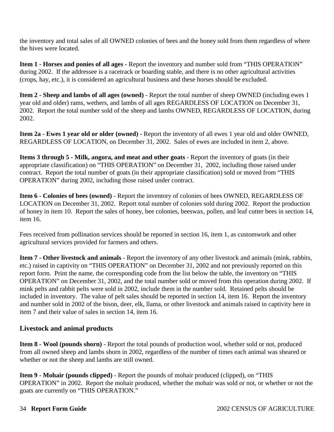the inventory and total sales of all OWNED colonies of bees and the honey sold from them regardless of where the hives were located.

**Item 1 - Horses and ponies of all ages -** Report the inventory and number sold from "THIS OPERATION" during 2002. If the addressee is a racetrack or boarding stable, and there is no other agricultural activities (crops, hay, etc.), it is considered an agricultural business and these horses should be excluded.

**Item 2 - Sheep and lambs of all ages (owned)** - Report the total number of sheep OWNED (including ewes 1 year old and older) rams, wethers, and lambs of all ages REGARDLESS OF LOCATION on December 31, 2002. Report the total number sold of the sheep and lambs OWNED, REGARDLESS OF LOCATION, during 2002.

**Item 2a - Ewes 1 year old or older (owned) -** Report the inventory of all ewes 1 year old and older OWNED, REGARDLESS OF LOCATION, on December 31, 2002. Sales of ewes are included in item 2, above.

**Items 3 through 5 - Milk, angora, and meat and other goats** - Report the inventory of goats (in their appropriate classification) on "THIS OPERATION" on December 31, 2002, including those raised under contract. Report the total number of goats (in their appropriate classification) sold or moved from "THIS OPERATION" during 2002, including those raised under contract.

**Item 6 - Colonies of bees (owned)** - Report the inventory of colonies of bees OWNED, REGARDLESS OF LOCATION on December 31, 2002. Report total number of colonies sold during 2002. Report the production of honey in item 10. Report the sales of honey, bee colonies, beeswax, pollen, and leaf cutter bees in section 14, item 16.

Fees received from pollination services should be reported in section 16, item 1, as customwork and other agricultural services provided for farmers and others.

**Item 7 - Other livestock and animals** - Report the inventory of any other livestock and animals (mink, rabbits, etc.) raised in captivity on "THIS OPERATION" on December 31, 2002 and not previously reported on this report form. Print the name, the corresponding code from the list below the table, the inventory on "THIS OPERATION" on December 31, 2002, and the total number sold or moved from this operation during 2002. If mink pelts and rabbit pelts were sold in 2002, include them in the number sold. Retained pelts should be included in inventory. The value of pelt sales should be reported in section 14, item 16. Report the inventory and number sold in 2002 of the bison, deer, elk, llama, or other livestock and animals raised in captivity here in item 7 and their value of sales in section 14, item 16.

### **Livestock and animal products**

**Item 8 - Wool (pounds shorn)** - Report the total pounds of production wool, whether sold or not, produced from all owned sheep and lambs shorn in 2002, regardless of the number of times each animal was sheared or whether or not the sheep and lambs are still owned.

**Item 9 - Mohair (pounds clipped)** - Report the pounds of mohair produced (clipped), on "THIS OPERATION" in 2002. Report the mohair produced, whether the mohair was sold or not, or whether or not the goats are currently on "THIS OPERATION."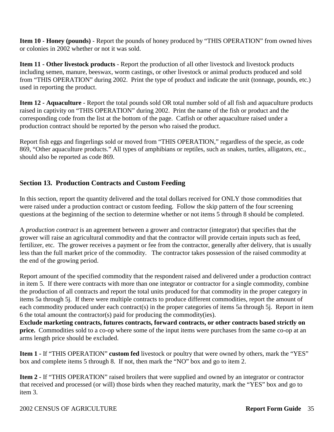**Item 10 - Honey (pounds)** - Report the pounds of honey produced by "THIS OPERATION" from owned hives or colonies in 2002 whether or not it was sold.

**Item 11 - Other livestock products** - Report the production of all other livestock and livestock products including semen, manure, beeswax, worm castings, or other livestock or animal products produced and sold from "THIS OPERATION" during 2002. Print the type of product and indicate the unit (tonnage, pounds, etc.) used in reporting the product.

**Item 12 - Aquaculture** - Report the total pounds sold OR total number sold of all fish and aquaculture products raised in captivity on "THIS OPERATION" during 2002. Print the name of the fish or product and the corresponding code from the list at the bottom of the page. Catfish or other aquaculture raised under a production contract should be reported by the person who raised the product.

Report fish eggs and fingerlings sold or moved from "THIS OPERATION," regardless of the specie, as code 869, "Other aquaculture products." All types of amphibians or reptiles, such as snakes, turtles, alligators, etc., should also be reported as code 869.

### **Section 13. Production Contracts and Custom Feeding**

In this section, report the quantity delivered and the total dollars received for ONLY those commodities that were raised under a production contract or custom feeding. Follow the skip pattern of the four screening questions at the beginning of the section to determine whether or not items 5 through 8 should be completed.

A *production contract* is an agreement between a grower and contractor (integrator) that specifies that the grower will raise an agricultural commodity and that the contractor will provide certain inputs such as feed, fertilizer, etc. The grower receives a payment or fee from the contractor, generally after delivery, that is usually less than the full market price of the commodity. The contractor takes possession of the raised commodity at the end of the growing period.

Report amount of the specified commodity that the respondent raised and delivered under a production contract in item 5. If there were contracts with more than one integrator or contractor for a single commodity, combine the production of all contracts and report the total units produced for that commodity in the proper category in items 5a through 5j. If there were multiple contracts to produce different commodities, report the amount of each commodity produced under each contract(s) in the proper categories of items 5a through 5j. Report in item 6 the total amount the contractor(s) paid for producing the commodity(ies).

**Exclude marketing contracts, futures contracts, forward contracts, or other contracts based strictly on price.** Commodities sold to a co-op where some of the input items were purchases from the same co-op at an arms length price should be excluded.

**Item 1 -** If "THIS OPERATION" **custom fed** livestock or poultry that were owned by others, mark the "YES" box and complete items 5 through 8. If not, then mark the "NO" box and go to item 2.

**Item 2 -** If "THIS OPERATION" raised broilers that were supplied and owned by an integrator or contractor that received and processed (or will) those birds when they reached maturity, mark the "YES" box and go to item 3.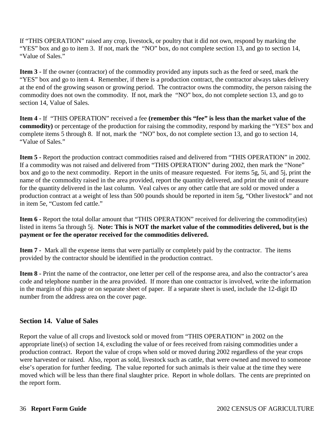If "THIS OPERATION" raised any crop, livestock, or poultry that it did not own, respond by marking the "YES" box and go to item 3. If not, mark the "NO" box, do not complete section 13, and go to section 14, "Value of Sales."

**Item 3 -** If the owner (contractor) of the commodity provided any inputs such as the feed or seed, mark the "YES" box and go to item 4. Remember, if there is a production contract, the contractor always takes delivery at the end of the growing season or growing period. The contractor owns the commodity, the person raising the commodity does not own the commodity. If not, mark the "NO" box, do not complete section 13, and go to section 14, Value of Sales.

**Item 4 -** If "THIS OPERATION" received a fee **(remember this "fee" is less than the market value of the commodity)** or percentage of the production for raising the commodity, respond by marking the "YES" box and complete items 5 through 8. If not, mark the "NO" box, do not complete section 13, and go to section 14, "Value of Sales."

**Item 5 -** Report the production contract commodities raised and delivered from "THIS OPERATION" in 2002. If a commodity was not raised and delivered from "THIS OPERATION" during 2002, then mark the "None" box and go to the next commodity. Report in the units of measure requested. For items 5g, 5i, and 5j, print the name of the commodity raised in the area provided, report the quantity delivered, and print the unit of measure for the quantity delivered in the last column. Veal calves or any other cattle that are sold or moved under a production contract at a weight of less than 500 pounds should be reported in item 5g, "Other livestock" and not in item 5e, "Custom fed cattle."

**Item 6 -** Report the total dollar amount that "THIS OPERATION" received for delivering the commodity(ies) listed in items 5a through 5j. **Note: This is NOT the market value of the commodities delivered, but is the payment or fee the operator received for the commodities delivered.** 

**Item 7 -** Mark all the expense items that were partially or completely paid by the contractor. The items provided by the contractor should be identified in the production contract.

**Item 8 -** Print the name of the contractor, one letter per cell of the response area, and also the contractor's area code and telephone number in the area provided. If more than one contractor is involved, write the information in the margin of this page or on separate sheet of paper. If a separate sheet is used, include the 12-digit ID number from the address area on the cover page.

### **Section 14. Value of Sales**

Report the value of all crops and livestock sold or moved from "THIS OPERATION" in 2002 on the appropriate line(s) of section 14, excluding the value of or fees received from raising commodities under a production contract. Report the value of crops when sold or moved during 2002 regardless of the year crops were harvested or raised. Also, report as sold, livestock such as cattle, that were owned and moved to someone else's operation for further feeding. The value reported for such animals is their value at the time they were moved which will be less than there final slaughter price. Report in whole dollars. The cents are preprinted on the report form.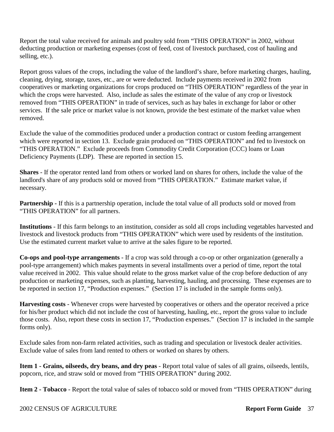Report the total value received for animals and poultry sold from "THIS OPERATION" in 2002, without deducting production or marketing expenses (cost of feed, cost of livestock purchased, cost of hauling and selling, etc.).

Report gross values of the crops, including the value of the landlord's share, before marketing charges, hauling, cleaning, drying, storage, taxes, etc., are or were deducted. Include payments received in 2002 from cooperatives or marketing organizations for crops produced on "THIS OPERATION" regardless of the year in which the crops were harvested. Also, include as sales the estimate of the value of any crop or livestock removed from "THIS OPERATION" in trade of services, such as hay bales in exchange for labor or other services. If the sale price or market value is not known, provide the best estimate of the market value when removed.

Exclude the value of the commodities produced under a production contract or custom feeding arrangement which were reported in section 13. Exclude grain produced on "THIS OPERATION" and fed to livestock on "THIS OPERATION." Exclude proceeds from Commodity Credit Corporation (CCC) loans or Loan Deficiency Payments (LDP). These are reported in section 15.

**Shares** - If the operator rented land from others or worked land on shares for others, include the value of the landlord's share of any products sold or moved from "THIS OPERATION." Estimate market value, if necessary.

**Partnership -** If this is a partnership operation, include the total value of all products sold or moved from "THIS OPERATION" for all partners.

**Institutions** - If this farm belongs to an institution, consider as sold all crops including vegetables harvested and livestock and livestock products from "THIS OPERATION" which were used by residents of the institution. Use the estimated current market value to arrive at the sales figure to be reported.

**Co-ops and pool-type arrangements** - If a crop was sold through a co-op or other organization (generally a pool-type arrangement) which makes payments in several installments over a period of time, report the total value received in 2002. This value should relate to the gross market value of the crop before deduction of any production or marketing expenses, such as planting, harvesting, hauling, and processing. These expenses are to be reported in section 17, "Production expenses." (Section 17 is included in the sample forms only).

**Harvesting costs** - Whenever crops were harvested by cooperatives or others and the operator received a price for his/her product which did not include the cost of harvesting, hauling, etc., report the gross value to include those costs. Also, report these costs in section 17, "Production expenses." (Section 17 is included in the sample forms only).

Exclude sales from non-farm related activities, such as trading and speculation or livestock dealer activities. Exclude value of sales from land rented to others or worked on shares by others.

**Item 1 - Grains, oilseeds, dry beans, and dry peas** - Report total value of sales of all grains, oilseeds, lentils, popcorn, rice, and straw sold or moved from "THIS OPERATION" during 2002.

**Item 2 - Tobacco** - Report the total value of sales of tobacco sold or moved from "THIS OPERATION" during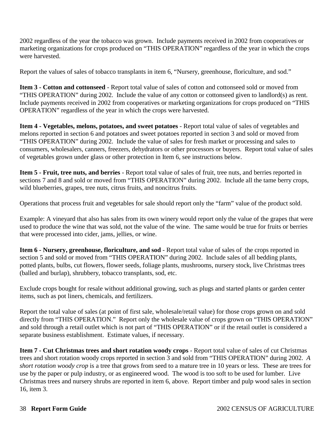2002 regardless of the year the tobacco was grown. Include payments received in 2002 from cooperatives or marketing organizations for crops produced on "THIS OPERATION" regardless of the year in which the crops were harvested.

Report the values of sales of tobacco transplants in item 6, "Nursery, greenhouse, floriculture, and sod."

**Item 3 - Cotton and cottonseed** - Report total value of sales of cotton and cottonseed sold or moved from "THIS OPERATION" during 2002. Include the value of any cotton or cottonseed given to landlord(s) as rent. Include payments received in 2002 from cooperatives or marketing organizations for crops produced on "THIS OPERATION" regardless of the year in which the crops were harvested.

**Item 4 - Vegetables, melons, potatoes, and sweet potatoes** - Report total value of sales of vegetables and melons reported in section 6 and potatoes and sweet potatoes reported in section 3 and sold or moved from "THIS OPERATION" during 2002. Include the value of sales for fresh market or processing and sales to consumers, wholesalers, canners, freezers, dehydrators or other processors or buyers. Report total value of sales of vegetables grown under glass or other protection in Item 6, see instructions below.

**Item 5 - Fruit, tree nuts, and berries** - Report total value of sales of fruit, tree nuts, and berries reported in sections 7 and 8 and sold or moved from "THIS OPERATION" during 2002. Include all the tame berry crops, wild blueberries, grapes, tree nuts, citrus fruits, and noncitrus fruits.

Operations that process fruit and vegetables for sale should report only the "farm" value of the product sold.

Example: A vineyard that also has sales from its own winery would report only the value of the grapes that were used to produce the wine that was sold, not the value of the wine. The same would be true for fruits or berries that were processed into cider, jams, jellies, or wine.

**Item 6 - Nursery, greenhouse, floriculture, and sod** - Report total value of sales of the crops reported in section 5 and sold or moved from "THIS OPERATION" during 2002. Include sales of all bedding plants, potted plants, bulbs, cut flowers, flower seeds, foliage plants, mushrooms, nursery stock, live Christmas trees (balled and burlap), shrubbery, tobacco transplants, sod, etc.

Exclude crops bought for resale without additional growing, such as plugs and started plants or garden center items, such as pot liners, chemicals, and fertilizers.

Report the total value of sales (at point of first sale, wholesale/retail value) for those crops grown on and sold directly from "THIS OPERATION." Report only the wholesale value of crops grown on "THIS OPERATION" and sold through a retail outlet which is not part of "THIS OPERATION" or if the retail outlet is considered a separate business establishment. Estimate values, if necessary.

**Item 7 - Cut Christmas trees and short rotation woody crops** - Report total value of sales of cut Christmas trees and short rotation woody crops reported in section 3 and sold from "THIS OPERATION" during 2002. *A short rotation woody crop* is a tree that grows from seed to a mature tree in 10 years or less. These are trees for use by the paper or pulp industry, or as engineered wood. The wood is too soft to be used for lumber. Live Christmas trees and nursery shrubs are reported in item 6, above. Report timber and pulp wood sales in section 16, item 3.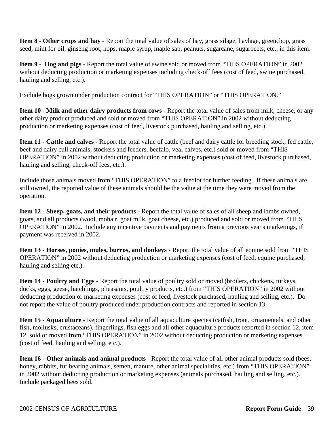**Item 8 - Other crops and hay** - Report the total value of sales of hay, grass silage, haylage, greenchop, grass seed, mint for oil, ginseng root, hops, maple syrup, maple sap, peanuts, sugarcane, sugarbeets, etc., in this item.

**Item 9 - Hog and pigs** - Report the total value of swine sold or moved from "THIS OPERATION" in 2002 without deducting production or marketing expenses including check-off fees (cost of feed, swine purchased, hauling and selling, etc.).

Exclude hogs grown under production contract for "THIS OPERATION" or "THIS OPERATION."

**Item 10 - Milk and other dairy products from cows -** Report the total value of sales from milk, cheese, or any other dairy product produced and sold or moved from "THIS OPERATION" in 2002 without deducting production or marketing expenses (cost of feed, livestock purchased, hauling and selling, etc.).

**Item 11 - Cattle and calves** - Report the total value of cattle (beef and dairy cattle for breeding stock, fed cattle, beef and dairy cull animals, stockers and feeders, beefalo, veal calves, etc.) sold or moved from "THIS OPERATION" in 2002 without deducting production or marketing expenses (cost of feed, livestock purchased, hauling and selling, check-off fees, etc.).

Include those animals moved from "THIS OPERATION" to a feedlot for further feeding. If these animals are still owned, the reported value of these animals should be the value at the time they were moved from the operation.

**Item 12 - Sheep, goats, and their products** - Report the total value of sales of all sheep and lambs owned, goats, and all products (wool, mohair, goat milk, goat cheese, etc.) produced and sold or moved from "THIS OPERATION" in 2002. Include any incentive payments and payments from a previous year's marketings, if payment was received in 2002.

**Item 13 - Horses, ponies, mules, burros, and donkeys** - Report the total value of all equine sold from "THIS OPERATION" in 2002 without deducting production or marketing expenses (cost of feed, equine purchased, hauling and selling etc.).

**Item 14 - Poultry and Eggs** - Report the total value of poultry sold or moved (broilers, chickens, turkeys, ducks, eggs, geese, hatchlings, pheasants, poultry products, etc.) from "THIS OPERATION" in 2002 without deducting production or marketing expenses (cost of feed, livestock purchased, hauling and selling, etc.). Do not report the value of poultry produced under production contracts and reported in section 13.

**Item 15 - Aquaculture -** Report the total value of all aquaculture species (catfish, trout, ornamentals, and other fish, mollusks, crustaceans), fingerlings, fish eggs and all other aquaculture products reported in section 12, item 12, sold or moved from "THIS OPERATION" in 2002 without deducting production or marketing expenses (cost of feed, hauling and selling, etc.).

**Item 16 - Other animals and animal products** - Report the total value of all other animal products sold (bees, honey, rabbits, fur bearing animals, semen, manure, other animal specialities, etc.) from "THIS OPERATION" in 2002 without deducting production or marketing expenses (animals purchased, hauling and selling, etc.). Include packaged bees sold.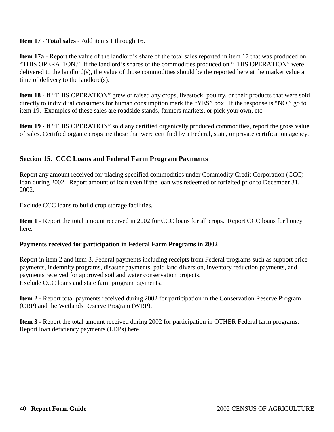### **Item 17 - Total sales** - Add items 1 through 16.

**Item 17a** - Report the value of the landlord's share of the total sales reported in item 17 that was produced on "THIS OPERATION." If the landlord's shares of the commodities produced on "THIS OPERATION" were delivered to the landlord(s), the value of those commodities should be the reported here at the market value at time of delivery to the landlord(s).

**Item 18 -** If "THIS OPERATION" grew or raised any crops, livestock, poultry, or their products that were sold directly to individual consumers for human consumption mark the "YES" box. If the response is "NO," go to item 19. Examples of these sales are roadside stands, farmers markets, or pick your own, etc.

**Item 19 -** If "THIS OPERATION" sold any certified organically produced commodities, report the gross value of sales. Certified organic crops are those that were certified by a Federal, state, or private certification agency.

### **Section 15. CCC Loans and Federal Farm Program Payments**

Report any amount received for placing specified commodities under Commodity Credit Corporation (CCC) loan during 2002. Report amount of loan even if the loan was redeemed or forfeited prior to December 31, 2002.

Exclude CCC loans to build crop storage facilities.

**Item 1 -** Report the total amount received in 2002 for CCC loans for all crops. Report CCC loans for honey here.

### **Payments received for participation in Federal Farm Programs in 2002**

Report in item 2 and item 3, Federal payments including receipts from Federal programs such as support price payments, indemnity programs, disaster payments, paid land diversion, inventory reduction payments, and payments received for approved soil and water conservation projects. Exclude CCC loans and state farm program payments.

**Item 2 -** Report total payments received during 2002 for participation in the Conservation Reserve Program (CRP) and the Wetlands Reserve Program (WRP).

**Item 3 -** Report the total amount received during 2002 for participation in OTHER Federal farm programs. Report loan deficiency payments (LDPs) here.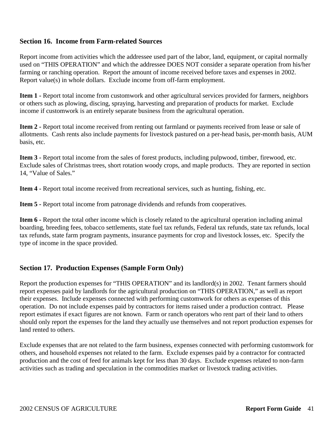### **Section 16. Income from Farm-related Sources**

Report income from activities which the addressee used part of the labor, land, equipment, or capital normally used on "THIS OPERATION" and which the addressee DOES NOT consider a separate operation from his/her farming or ranching operation. Report the amount of income received before taxes and expenses in 2002. Report value(s) in whole dollars. Exclude income from off-farm employment.

**Item 1 -** Report total income from customwork and other agricultural services provided for farmers, neighbors or others such as plowing, discing, spraying, harvesting and preparation of products for market. Exclude income if customwork is an entirely separate business from the agricultural operation.

**Item 2 -** Report total income received from renting out farmland or payments received from lease or sale of allotments. Cash rents also include payments for livestock pastured on a per-head basis, per-month basis, AUM basis, etc.

**Item 3 -** Report total income from the sales of forest products, including pulpwood, timber, firewood, etc. Exclude sales of Christmas trees, short rotation woody crops, and maple products. They are reported in section 14, "Value of Sales."

**Item 4 -** Report total income received from recreational services, such as hunting, fishing, etc.

**Item 5 -** Report total income from patronage dividends and refunds from cooperatives.

**Item 6 - Report the total other income which is closely related to the agricultural operation including animal** boarding, breeding fees, tobacco settlements, state fuel tax refunds, Federal tax refunds, state tax refunds, local tax refunds, state farm program payments, insurance payments for crop and livestock losses, etc. Specify the type of income in the space provided.

### **Section 17. Production Expenses (Sample Form Only)**

Report the production expenses for "THIS OPERATION" and its landlord(s) in 2002. Tenant farmers should report expenses paid by landlords for the agricultural production on "THIS OPERATION," as well as report their expenses. Include expenses connected with performing customwork for others as expenses of this operation. Do not include expenses paid by contractors for items raised under a production contract. Please report estimates if exact figures are not known. Farm or ranch operators who rent part of their land to others should only report the expenses for the land they actually use themselves and not report production expenses for land rented to others.

Exclude expenses that are not related to the farm business, expenses connected with performing customwork for others, and household expenses not related to the farm. Exclude expenses paid by a contractor for contracted production and the cost of feed for animals kept for less than 30 days. Exclude expenses related to non-farm activities such as trading and speculation in the commodities market or livestock trading activities.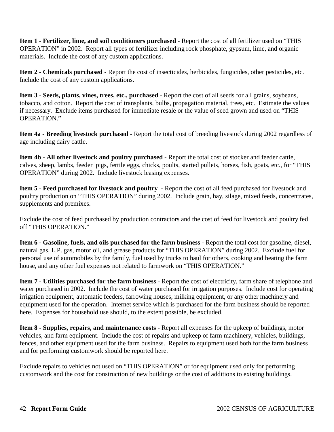**Item 1 - Fertilizer, lime, and soil conditioners purchased** - Report the cost of all fertilizer used on "THIS OPERATION" in 2002. Report all types of fertilizer including rock phosphate, gypsum, lime, and organic materials. Include the cost of any custom applications.

**Item 2 - Chemicals purchased** - Report the cost of insecticides, herbicides, fungicides, other pesticides, etc. Include the cost of any custom applications.

**Item 3 - Seeds, plants, vines, trees, etc., purchased -** Report the cost of all seeds for all grains, soybeans, tobacco, and cotton. Report the cost of transplants, bulbs, propagation material, trees, etc. Estimate the values if necessary. Exclude items purchased for immediate resale or the value of seed grown and used on "THIS OPERATION."

**Item 4a - Breeding livestock purchased -** Report the total cost of breeding livestock during 2002 regardless of age including dairy cattle.

**Item 4b - All other livestock and poultry purchased -** Report the total cost of stocker and feeder cattle, calves, sheep, lambs, feeder pigs, fertile eggs, chicks, poults, started pullets, horses, fish, goats, etc., for "THIS OPERATION" during 2002. Include livestock leasing expenses.

**Item 5 - Feed purchased for livestock and poultry -** Report the cost of all feed purchased for livestock and poultry production on "THIS OPERATION" during 2002. Include grain, hay, silage, mixed feeds, concentrates, supplements and premixes.

Exclude the cost of feed purchased by production contractors and the cost of feed for livestock and poultry fed off "THIS OPERATION."

**Item 6 - Gasoline, fuels, and oils purchased for the farm business** - Report the total cost for gasoline, diesel, natural gas, L.P. gas, motor oil, and grease products for "THIS OPERATION" during 2002. Exclude fuel for personal use of automobiles by the family, fuel used by trucks to haul for others, cooking and heating the farm house, and any other fuel expenses not related to farmwork on "THIS OPERATION."

**Item 7 - Utilities purchased for the farm business** - Report the cost of electricity, farm share of telephone and water purchased in 2002. Include the cost of water purchased for irrigation purposes. Include cost for operating irrigation equipment, automatic feeders, farrowing houses, milking equipment, or any other machinery and equipment used for the operation. Internet service which is purchased for the farm business should be reported here. Expenses for household use should, to the extent possible, be excluded.

**Item 8 - Supplies, repairs, and maintenance costs** - Report all expenses for the upkeep of buildings, motor vehicles, and farm equipment. Include the cost of repairs and upkeep of farm machinery, vehicles, buildings, fences, and other equipment used for the farm business. Repairs to equipment used both for the farm business and for performing customwork should be reported here.

Exclude repairs to vehicles not used on "THIS OPERATION" or for equipment used only for performing customwork and the cost for construction of new buildings or the cost of additions to existing buildings.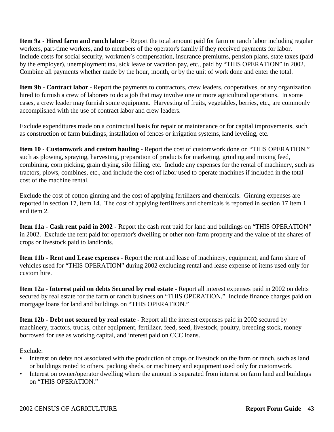**Item 9a - Hired farm and ranch labor -** Report the total amount paid for farm or ranch labor including regular workers, part-time workers, and to members of the operator's family if they received payments for labor. Include costs for social security, workmen's compensation, insurance premiums, pension plans, state taxes (paid by the employer), unemployment tax, sick leave or vacation pay, etc., paid by "THIS OPERATION" in 2002. Combine all payments whether made by the hour, month, or by the unit of work done and enter the total.

**Item 9b - Contract labor -** Report the payments to contractors, crew leaders, cooperatives, or any organization hired to furnish a crew of laborers to do a job that may involve one or more agricultural operations. In some cases, a crew leader may furnish some equipment. Harvesting of fruits, vegetables, berries, etc., are commonly accomplished with the use of contract labor and crew leaders.

Exclude expenditures made on a contractual basis for repair or maintenance or for capital improvements, such as construction of farm buildings, installation of fences or irrigation systems, land leveling, etc.

**Item 10 - Customwork and custom hauling -** Report the cost of customwork done on "THIS OPERATION," such as plowing, spraying, harvesting, preparation of products for marketing, grinding and mixing feed, combining, corn picking, grain drying, silo filling, etc. Include any expenses for the rental of machinery, such as tractors, plows, combines, etc., and include the cost of labor used to operate machines if included in the total cost of the machine rental.

Exclude the cost of cotton ginning and the cost of applying fertilizers and chemicals. Ginning expenses are reported in section 17, item 14. The cost of applying fertilizers and chemicals is reported in section 17 item 1 and item 2.

**Item 11a - Cash rent paid in 2002 -** Report the cash rent paid for land and buildings on "THIS OPERATION" in 2002. Exclude the rent paid for operator's dwelling or other non-farm property and the value of the shares of crops or livestock paid to landlords.

**Item 11b - Rent and Lease expenses -** Report the rent and lease of machinery, equipment, and farm share of vehicles used for "THIS OPERATION" during 2002 excluding rental and lease expense of items used only for custom hire.

**Item 12a - Interest paid on debts Secured by real estate -** Report all interest expenses paid in 2002 on debts secured by real estate for the farm or ranch business on "THIS OPERATION." Include finance charges paid on mortgage loans for land and buildings on "THIS OPERATION."

**Item 12b - Debt not secured by real estate -** Report all the interest expenses paid in 2002 secured by machinery, tractors, trucks, other equipment, fertilizer, feed, seed, livestock, poultry, breeding stock, money borrowed for use as working capital, and interest paid on CCC loans.

Exclude:

- Interest on debts not associated with the production of crops or livestock on the farm or ranch, such as land or buildings rented to others, packing sheds, or machinery and equipment used only for customwork.
- Interest on owner/operator dwelling where the amount is separated from interest on farm land and buildings on "THIS OPERATION."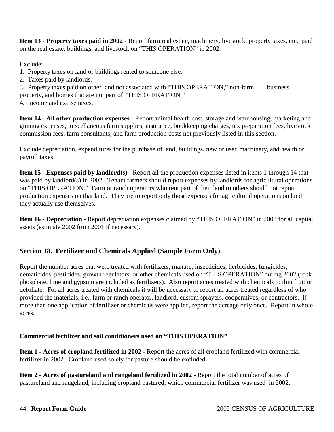**Item 13 - Property taxes paid in 2002 -** Report farm real estate, machinery, livestock, property taxes, etc., paid on the real estate, buildings, and livestock on "THIS OPERATION" in 2002.

Exclude:

- 1. Property taxes on land or buildings rented to someone else.
- 2. Taxes paid by landlords.
- 3. Property taxes paid on other land not associated with "THIS OPERATION," non-farm business property, and homes that are not part of "THIS OPERATION."
- 4. Income and excise taxes.

**Item 14 - All other production expenses** - Report animal health cost, storage and warehousing, marketing and ginning expenses, miscellaneous farm supplies, insurance, bookkeeping charges, tax preparation fees, livestock commission fees, farm consultants, and farm production costs not previously listed in this section.

Exclude depreciation, expenditures for the purchase of land, buildings, new or used machinery, and health or payroll taxes.

**Item 15 - Expenses paid by landlord(s) -** Report all the production expenses listed in items 1 through 14 that was paid by landlord(s) in 2002. Tenant farmers should report expenses by landlords for agricultural operations on "THIS OPERATION." Farm or ranch operators who rent part of their land to others should not report production expenses on that land. They are to report only those expenses for agricultural operations on land they actually use themselves.

**Item 16 - Depreciation -** Report depreciation expenses claimed by "THIS OPERATION" in 2002 for all capital assets (estimate 2002 from 2001 if necessary).

### **Section 18. Fertilizer and Chemicals Applied (Sample Form Only)**

Report the number acres that were treated with fertilizers, manure, insecticides, herbicides, fungicides, nematicides, pesticides, growth regulators, or other chemicals used on "THIS OPERATION" during 2002 (rock phosphate, lime and gypsum are included as fertilizers). Also report acres treated with chemicals to thin fruit or defoliate. For all acres treated with chemicals it will be necessary to report all acres treated regardless of who provided the materials, i.e., farm or ranch operator, landlord, custom sprayers, cooperatives, or contractors. If more than one application of fertilizer or chemicals were applied, report the acreage only once. Report in whole acres.

### **Commercial fertilizer and soil conditioners used on "THIS OPERATION"**

**Item 1 - Acres of cropland fertilized in 2002** - Report the acres of all cropland fertilized with commercial fertilizer in 2002. Cropland used solely for pasture should be excluded.

**Item 2 - Acres of pastureland and rangeland fertilized in 2002 -** Report the total number of acres of pastureland and rangeland, including cropland pastured, which commercial fertilizer was used in 2002.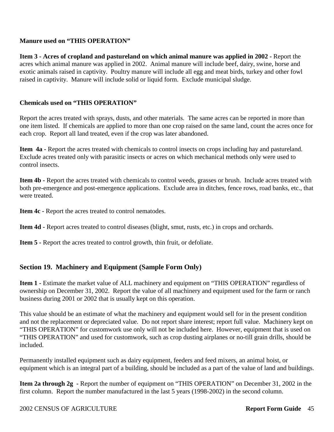### **Manure used on "THIS OPERATION"**

**Item 3 - Acres of cropland and pastureland on which animal manure was applied in 2002 - Report the** acres which animal manure was applied in 2002. Animal manure will include beef, dairy, swine, horse and exotic animals raised in captivity. Poultry manure will include all egg and meat birds, turkey and other fowl raised in captivity. Manure will include solid or liquid form. Exclude municipal sludge.

### **Chemicals used on "THIS OPERATION"**

Report the acres treated with sprays, dusts, and other materials. The same acres can be reported in more than one item listed. If chemicals are applied to more than one crop raised on the same land, count the acres once for each crop. Report all land treated, even if the crop was later abandoned.

Item 4a - Report the acres treated with chemicals to control insects on crops including hay and pastureland. Exclude acres treated only with parasitic insects or acres on which mechanical methods only were used to control insects.

**Item 4b -** Report the acres treated with chemicals to control weeds, grasses or brush. Include acres treated with both pre-emergence and post-emergence applications. Exclude area in ditches, fence rows, road banks, etc., that were treated.

**Item 4c - Report the acres treated to control nematodes.** 

**Item 4d -** Report acres treated to control diseases (blight, smut, rusts, etc.) in crops and orchards.

**Item 5 -** Report the acres treated to control growth, thin fruit, or defoliate.

### **Section 19. Machinery and Equipment (Sample Form Only)**

**Item 1 -** Estimate the market value of ALL machinery and equipment on "THIS OPERATION" regardless of ownership on December 31, 2002. Report the value of all machinery and equipment used for the farm or ranch business during 2001 or 2002 that is usually kept on this operation.

This value should be an estimate of what the machinery and equipment would sell for in the present condition and not the replacement or depreciated value. Do not report share interest; report full value. Machinery kept on "THIS OPERATION" for customwork use only will not be included here. However, equipment that is used on "THIS OPERATION" and used for customwork, such as crop dusting airplanes or no-till grain drills, should be included.

Permanently installed equipment such as dairy equipment, feeders and feed mixers, an animal hoist, or equipment which is an integral part of a building, should be included as a part of the value of land and buildings.

**Item 2a through 2g -** Report the number of equipment on "THIS OPERATION" on December 31, 2002 in the first column. Report the number manufactured in the last 5 years (1998-2002) in the second column.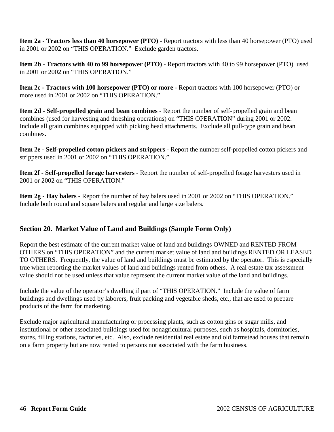**Item 2a - Tractors less than 40 horsepower (PTO)** - Report tractors with less than 40 horsepower (PTO) used in 2001 or 2002 on "THIS OPERATION." Exclude garden tractors.

**Item 2b - Tractors with 40 to 99 horsepower (PTO)** - Report tractors with 40 to 99 horsepower (PTO) used in 2001 or 2002 on "THIS OPERATION."

**Item 2c - Tractors with 100 horsepower (PTO) or more** - Report tractors with 100 horsepower (PTO) or more used in 2001 or 2002 on "THIS OPERATION."

**Item 2d - Self-propelled grain and bean combines** - Report the number of self-propelled grain and bean combines (used for harvesting and threshing operations) on "THIS OPERATION" during 2001 or 2002. Include all grain combines equipped with picking head attachments. Exclude all pull-type grain and bean combines.

**Item 2e - Self-propelled cotton pickers and strippers** - Report the number self-propelled cotton pickers and strippers used in 2001 or 2002 on "THIS OPERATION."

**Item 2f - Self-propelled forage harvesters** - Report the number of self-propelled forage harvesters used in 2001 or 2002 on "THIS OPERATION."

**Item 2g - Hay balers** - Report the number of hay balers used in 2001 or 2002 on "THIS OPERATION." Include both round and square balers and regular and large size balers.

### **Section 20. Market Value of Land and Buildings (Sample Form Only)**

Report the best estimate of the current market value of land and buildings OWNED and RENTED FROM OTHERS on "THIS OPERATION" and the current market value of land and buildings RENTED OR LEASED TO OTHERS. Frequently, the value of land and buildings must be estimated by the operator. This is especially true when reporting the market values of land and buildings rented from others. A real estate tax assessment value should not be used unless that value represent the current market value of the land and buildings.

Include the value of the operator's dwelling if part of "THIS OPERATION." Include the value of farm buildings and dwellings used by laborers, fruit packing and vegetable sheds, etc., that are used to prepare products of the farm for marketing.

Exclude major agricultural manufacturing or processing plants, such as cotton gins or sugar mills, and institutional or other associated buildings used for nonagricultural purposes, such as hospitals, dormitories, stores, filling stations, factories, etc. Also, exclude residential real estate and old farmstead houses that remain on a farm property but are now rented to persons not associated with the farm business.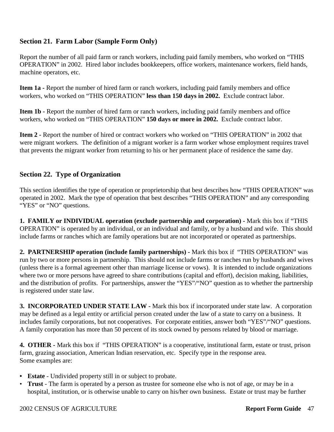### **Section 21. Farm Labor (Sample Form Only)**

Report the number of all paid farm or ranch workers, including paid family members, who worked on "THIS OPERATION" in 2002. Hired labor includes bookkeepers, office workers, maintenance workers, field hands, machine operators, etc.

**Item 1a -** Report the number of hired farm or ranch workers, including paid family members and office workers, who worked on "THIS OPERATION" **less than 150 days in 2002.** Exclude contract labor.

**Item 1b -** Report the number of hired farm or ranch workers, including paid family members and office workers, who worked on "THIS OPERATION" **150 days or more in 2002.** Exclude contract labor.

**Item 2 -** Report the number of hired or contract workers who worked on "THIS OPERATION" in 2002 that were migrant workers. The definition of a migrant worker is a farm worker whose employment requires travel that prevents the migrant worker from returning to his or her permanent place of residence the same day.

### **Section 22. Type of Organization**

This section identifies the type of operation or proprietorship that best describes how "THIS OPERATION" was operated in 2002. Mark the type of operation that best describes "THIS OPERATION" and any corresponding "YES" or "NO" questions.

**1. FAMILY or INDIVIDUAL operation (exclude partnership and corporation) -** Mark this box if "THIS OPERATION" is operated by an individual, or an individual and family, or by a husband and wife. This should include farms or ranches which are family operations but are not incorporated or operated as partnerships.

**2. PARTNERSHIP operation (include family partnerships) -** Mark this box if "THIS OPERATION" was run by two or more persons in partnership. This should not include farms or ranches run by husbands and wives (unless there is a formal agreement other than marriage license or vows). It is intended to include organizations where two or more persons have agreed to share contributions (capital and effort), decision making, liabilities, and the distribution of profits. For partnerships, answer the "YES"/"NO" question as to whether the partnership is registered under state law.

**3. INCORPORATED UNDER STATE LAW -** Mark this box if incorporated under state law. A corporation may be defined as a legal entity or artificial person created under the law of a state to carry on a business. It includes family corporations, but not cooperatives. For corporate entities, answer both "YES"/"NO" questions. A family corporation has more than 50 percent of its stock owned by persons related by blood or marriage.

**4. OTHER -** Mark this box if "THIS OPERATION" is a cooperative, institutional farm, estate or trust, prison farm, grazing association, American Indian reservation, etc. Specify type in the response area. Some examples are:

- **• Estate**  Undivided property still in or subject to probate.
- **Trust** The farm is operated by a person as trustee for someone else who is not of age, or may be in a hospital, institution, or is otherwise unable to carry on his/her own business. Estate or trust may be further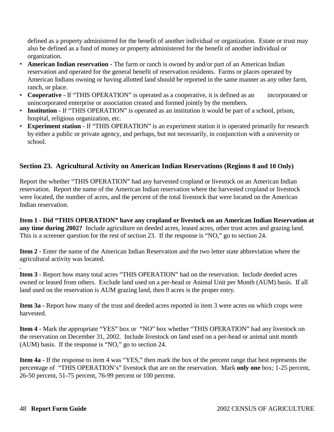defined as a property administered for the benefit of another individual or organization. Estate or trust may also be defined as a fund of money or property administered for the benefit of another individual or organization.

- **American Indian reservation -** The farm or ranch is owned by and/or part of an American Indian reservation and operated for the general benefit of reservation residents. Farms or places operated by American Indians owning or having allotted land should be reported in the same manner as any other farm, ranch, or place.
- **Cooperative** If "THIS OPERATION" is operated as a cooperative, it is defined as an incorporated or unincorporated enterprise or association created and formed jointly by the members.
- **Institution -** If "THIS OPERATION" is operated as an institution it would be part of a school, prison, hospital, religious organization, etc.
- **Experiment station**  If "THIS OPERATION" is an experiment station it is operated primarily for research by either a public or private agency, and perhaps, but not necessarily, in conjunction with a university or school.

### **Section 23. Agricultural Activity on American Indian Reservations (Regions 8 and 10 Only)**

Report the whether "THIS OPERATION" had any harvested cropland or livestock on an American Indian reservation. Report the name of the American Indian reservation where the harvested cropland or livestock were located, the number of acres, and the percent of the total livestock that were located on the American Indian reservation.

**Item 1 - Did "THIS OPERATION" have any cropland or livestock on an American Indian Reservation at any time during 2002?** Include agriculture on deeded acres, leased acres, other trust acres and grazing land. This is a screener question for the rest of section 23. If the response is "NO," go to section 24.

**Item 2 -** Enter the name of the American Indian Reservation and the two letter state abbreviation where the agricultural activity was located.

**Item 3 -** Report how many total acres "THIS OPERATION" had on the reservation. Include deeded acres owned or leased from others. Exclude land used on a per-head or Animal Unit per Month (AUM) basis. If all land used on the reservation is AUM grazing land, then 0 acres is the proper entry.

**Item 3a -** Report how many of the trust and deeded acres reported in item 3 were acres on which crops were harvested.

**Item 4 -** Mark the appropriate "YES" box or "NO" box whether "THIS OPERATION" had any livestock on the reservation on December 31, 2002. Include livestock on land used on a per-head or animal unit month (AUM) basis. If the response is "NO," go to section 24.

**Item 4a -** If the response to item 4 was "YES," then mark the box of the percent range that best represents the percentage of "THIS OPERATION's" livestock that are on the reservation. Mark **only one** box; 1-25 percent, 26-50 percent, 51-75 percent, 76-99 percent or 100 percent.

.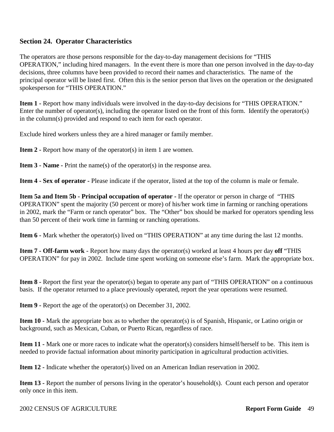### **Section 24. Operator Characteristics**

The operators are those persons responsible for the day-to-day management decisions for "THIS OPERATION," including hired managers. In the event there is more than one person involved in the day-to-day decisions, three columns have been provided to record their names and characteristics. The name of the principal operator will be listed first. Often this is the senior person that lives on the operation or the designated spokesperson for "THIS OPERATION."

**Item 1 -** Report how many individuals were involved in the day-to-day decisions for "THIS OPERATION." Enter the number of operator(s), including the operator listed on the front of this form. Identify the operator(s) in the column(s) provided and respond to each item for each operator.

Exclude hired workers unless they are a hired manager or family member.

**Item 2 - Report how many of the operator(s) in item 1 are women.** 

**Item 3 - Name -** Print the name(s) of the operator(s) in the response area.

**Item 4 - Sex of operator -** Please indicate if the operator, listed at the top of the column is male or female.

**Item 5a and Item 5b - Principal occupation of operator -** If the operator or person in charge of "THIS OPERATION" spent the majority (50 percent or more) of his/her work time in farming or ranching operations in 2002, mark the "Farm or ranch operator" box. The "Other" box should be marked for operators spending less than 50 percent of their work time in farming or ranching operations.

**Item 6 -** Mark whether the operator(s) lived on "THIS OPERATION" at any time during the last 12 months.

**Item 7 - Off-farm work** - Report how many days the operator(s) worked at least 4 hours per day **off** "THIS OPERATION" for pay in 2002. Include time spent working on someone else's farm. Mark the appropriate box.

**Item 8 - Report the first year the operator(s) began to operate any part of "THIS OPERATION" on a continuous** basis. If the operator returned to a place previously operated, report the year operations were resumed.

**Item 9 -** Report the age of the operator(s) on December 31, 2002.

**Item 10 -** Mark the appropriate box as to whether the operator(s) is of Spanish, Hispanic, or Latino origin or background, such as Mexican, Cuban, or Puerto Rican, regardless of race.

**Item 11 -** Mark one or more races to indicate what the operator(s) considers himself/herself to be. This item is needed to provide factual information about minority participation in agricultural production activities.

**Item 12 - Indicate whether the operator(s) lived on an American Indian reservation in 2002.** 

**Item 13 - Report the number of persons living in the operator's household(s). Count each person and operator** only once in this item.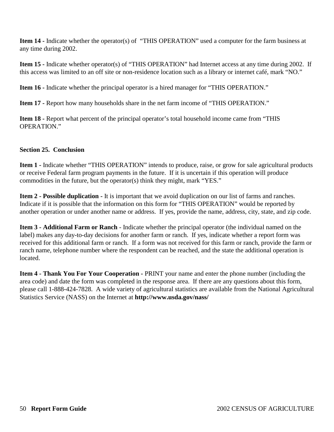**Item 14 -** Indicate whether the operator(s) of "THIS OPERATION" used a computer for the farm business at any time during 2002.

**Item 15 -** Indicate whether operator(s) of "THIS OPERATION" had Internet access at any time during 2002. If this access was limited to an off site or non-residence location such as a library or internet café, mark "NO."

**Item 16 -** Indicate whether the principal operator is a hired manager for "THIS OPERATION."

**Item 17 -** Report how many households share in the net farm income of "THIS OPERATION."

**Item 18 -** Report what percent of the principal operator's total household income came from "THIS OPERATION."

### **Section 25. Conclusion**

**Item 1 -** Indicate whether "THIS OPERATION" intends to produce, raise, or grow for sale agricultural products or receive Federal farm program payments in the future. If it is uncertain if this operation will produce commodities in the future, but the operator(s) think they might, mark "YES."

**Item 2 - Possible duplication -** It is important that we avoid duplication on our list of farms and ranches. Indicate if it is possible that the information on this form for "THIS OPERATION" would be reported by another operation or under another name or address. If yes, provide the name, address, city, state, and zip code.

**Item 3 - Additional Farm or Ranch** - Indicate whether the principal operator (the individual named on the label) makes any day-to-day decisions for another farm or ranch. If yes, indicate whether a report form was received for this additional farm or ranch. If a form was not received for this farm or ranch, provide the farm or ranch name, telephone number where the respondent can be reached, and the state the additional operation is located.

**Item 4 - Thank You For Your Cooperation -** PRINT your name and enter the phone number (including the area code) and date the form was completed in the response area. If there are any questions about this form, please call 1-888-424-7828. A wide variety of agricultural statistics are available from the National Agricultural Statistics Service (NASS) on the Internet at **http://www.usda.gov/nass/**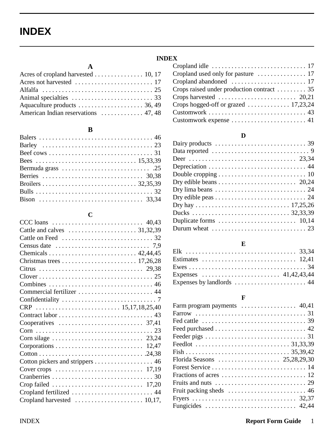# **INDEX**

### **A**

| Acres of cropland harvested 10, 17 |  |
|------------------------------------|--|
|                                    |  |
|                                    |  |
|                                    |  |
|                                    |  |
|                                    |  |

### **B**

### **C**

| CCC loans $\ldots \ldots \ldots \ldots \ldots \ldots \ldots \ldots \ldots$ 40,43   |
|------------------------------------------------------------------------------------|
|                                                                                    |
|                                                                                    |
| Census date $\ldots \ldots \ldots \ldots \ldots \ldots \ldots \ldots \ldots$ 7,9   |
|                                                                                    |
|                                                                                    |
|                                                                                    |
|                                                                                    |
|                                                                                    |
|                                                                                    |
|                                                                                    |
|                                                                                    |
|                                                                                    |
| Cooperatives $\ldots \ldots \ldots \ldots \ldots \ldots \ldots \ldots$ 37,41       |
|                                                                                    |
|                                                                                    |
|                                                                                    |
|                                                                                    |
|                                                                                    |
| Cover crops $\ldots \ldots \ldots \ldots \ldots \ldots \ldots \ldots \ldots 17,19$ |
|                                                                                    |
| Crop failed $\ldots \ldots \ldots \ldots \ldots \ldots \ldots \ldots \ldots 17,20$ |
|                                                                                    |
|                                                                                    |

### **INDEX** Cropland idle . . . . . . . . . . . . . . . . . . . . . . . . . . . . . 17 Cropland used only for pasture . . . . . . . . . . . . . . . 17 Cropland abandoned . . . . . . . . . . . . . . . . . . . . . . . 17 Crops raised under production contract . . . . . . . . . 35 Crops harvested . . . . . . . . . . . . . . . . . . . . . . . . 20,21 Crops hogged-off or grazed . . . . . . . . . . . . . 17,23,24 Customwork . . . . . . . . . . . . . . . . . . . . . . . . . . . . . . 43 Customwork expense . . . . . . . . . . . . . . . . . . . . . . . 41

### **D**

| Data reported $\ldots \ldots \ldots \ldots \ldots \ldots \ldots \ldots \ldots$   |
|----------------------------------------------------------------------------------|
|                                                                                  |
|                                                                                  |
|                                                                                  |
|                                                                                  |
| Dry lima beans $\dots \dots \dots \dots \dots \dots \dots \dots \dots \dots 24$  |
| Dry edible peas $\dots \dots \dots \dots \dots \dots \dots \dots \dots \dots 24$ |
|                                                                                  |
|                                                                                  |
|                                                                                  |
| Durum wheat $\ldots \ldots \ldots \ldots \ldots \ldots \ldots \ldots \ldots 23$  |
|                                                                                  |

### **E**

| Expenses by landlords $\dots \dots \dots \dots \dots \dots \dots$ 44 |  |  |
|----------------------------------------------------------------------|--|--|

### **F**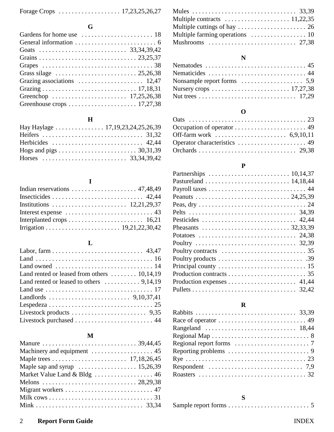| Forage Crops $\ldots \ldots \ldots \ldots \ldots \ldots 17,23,25,26,27$ |  |
|-------------------------------------------------------------------------|--|
|                                                                         |  |

**G**

| Grass silage $\ldots \ldots \ldots \ldots \ldots \ldots \ldots \ldots 25,26,38$ |
|---------------------------------------------------------------------------------|
|                                                                                 |
|                                                                                 |
|                                                                                 |
|                                                                                 |
|                                                                                 |

## **H**

| Hay Haylage 17, 19, 23, 24, 25, 26, 39 |  |
|----------------------------------------|--|
|                                        |  |
|                                        |  |
|                                        |  |
|                                        |  |

# **I**

# **L**

| Land owned $\ldots \ldots \ldots \ldots \ldots \ldots \ldots \ldots \ldots 14$              |
|---------------------------------------------------------------------------------------------|
| Land rented or leased from others $\dots \dots \dots 10,14,19$                              |
| Land rented or leased to others $\dots \dots \dots$ 9,14,19                                 |
| Land use $\dots \dots \dots \dots \dots \dots \dots \dots \dots \dots \dots \dots \dots 17$ |
|                                                                                             |
|                                                                                             |
|                                                                                             |
| Livestock purchased  44                                                                     |

# **M**

| Maple sap and syrup $\dots \dots \dots \dots \dots \dots \dots 15,26,39$ |
|--------------------------------------------------------------------------|
| Market Value Land & Bldg  46                                             |
|                                                                          |
|                                                                          |
|                                                                          |
|                                                                          |

| Multiple contracts $\dots \dots \dots \dots \dots \dots 11,22,35$       |  |
|-------------------------------------------------------------------------|--|
| Multiple cuttings of hay $\dots \dots \dots \dots \dots \dots \dots$ 26 |  |
| Multiple farming operations $\dots \dots \dots \dots \dots \dots$ 10    |  |
|                                                                         |  |

# **N**

| Nematodes $\ldots \ldots \ldots \ldots \ldots \ldots \ldots \ldots \ldots$ 45 |
|-------------------------------------------------------------------------------|
| Nematicides  44                                                               |
| Nonsample report forms $\dots \dots \dots \dots \dots \dots$ 5,9              |
|                                                                               |
|                                                                               |
|                                                                               |

# **O**

| Occupation of operator $\dots \dots \dots \dots \dots \dots \dots$ 49 |  |
|-----------------------------------------------------------------------|--|
| Off-farm work $\ldots \ldots \ldots \ldots \ldots \ldots 6,9,10,11$   |  |
|                                                                       |  |
|                                                                       |  |

# **P**

| Partnerships $\ldots \ldots \ldots \ldots \ldots \ldots \ldots \ldots 10,14,37$ |
|---------------------------------------------------------------------------------|
|                                                                                 |
|                                                                                 |
|                                                                                 |
|                                                                                 |
|                                                                                 |
| Pesticides  42,44                                                               |
|                                                                                 |
|                                                                                 |
|                                                                                 |
|                                                                                 |
|                                                                                 |
|                                                                                 |
|                                                                                 |
| Production expenses $\dots \dots \dots \dots \dots \dots \dots$ 41,44           |
|                                                                                 |
|                                                                                 |

# **R**

| Reporting problems $\ldots \ldots \ldots \ldots \ldots \ldots \ldots$           |
|---------------------------------------------------------------------------------|
|                                                                                 |
| Respondent $\ldots \ldots \ldots \ldots \ldots \ldots \ldots \ldots \ldots$ 7,9 |
|                                                                                 |
|                                                                                 |

# **S**

# 2 **Report Form Guide** INDEX